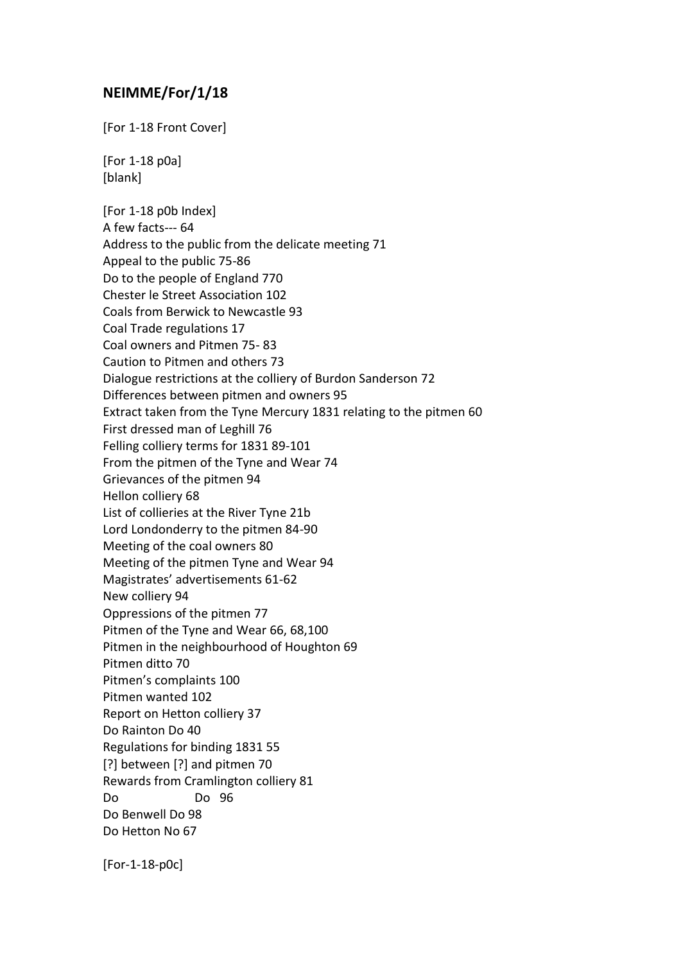## **NEIMME/For/1/18**

[For 1-18 Front Cover]

[For 1-18 p0a] [blank]

[For 1-18 p0b Index] A few facts--- 64 Address to the public from the delicate meeting 71 Appeal to the public 75-86 Do to the people of England 770 Chester le Street Association 102 Coals from Berwick to Newcastle 93 Coal Trade regulations 17 Coal owners and Pitmen 75- 83 Caution to Pitmen and others 73 Dialogue restrictions at the colliery of Burdon Sanderson 72 Differences between pitmen and owners 95 Extract taken from the Tyne Mercury 1831 relating to the pitmen 60 First dressed man of Leghill 76 Felling colliery terms for 1831 89-101 From the pitmen of the Tyne and Wear 74 Grievances of the pitmen 94 Hellon colliery 68 List of collieries at the River Tyne 21b Lord Londonderry to the pitmen 84-90 Meeting of the coal owners 80 Meeting of the pitmen Tyne and Wear 94 Magistrates' advertisements 61-62 New colliery 94 Oppressions of the pitmen 77 Pitmen of the Tyne and Wear 66, 68,100 Pitmen in the neighbourhood of Houghton 69 Pitmen ditto 70 Pitmen's complaints 100 Pitmen wanted 102 Report on Hetton colliery 37 Do Rainton Do 40 Regulations for binding 1831 55 [?] between [?] and pitmen 70 Rewards from Cramlington colliery 81 Do Do 96 Do Benwell Do 98 Do Hetton No 67

[For-1-18-p0c]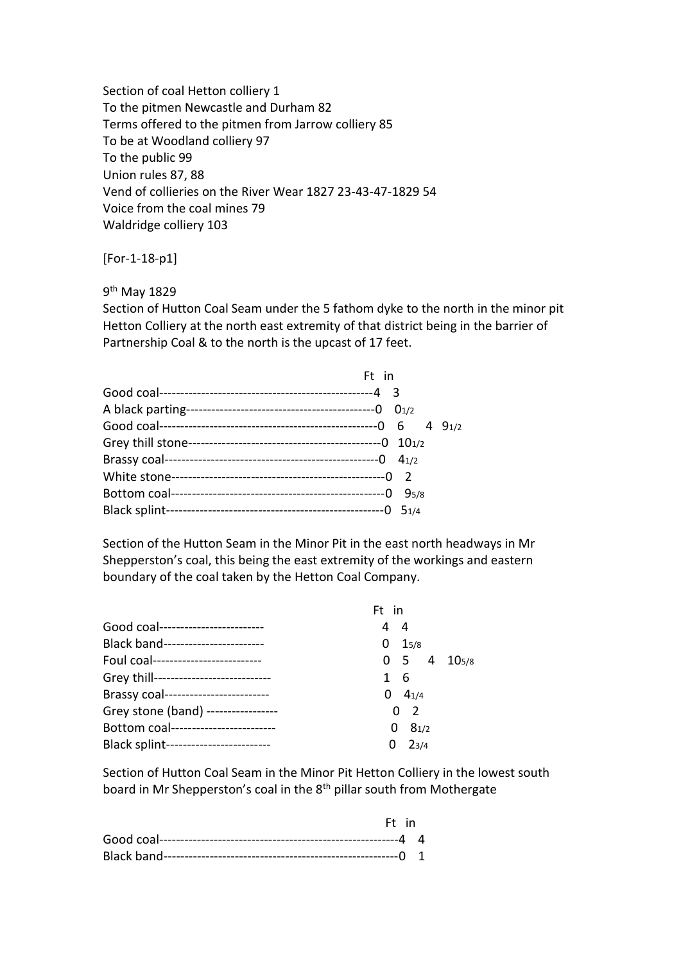Section of coal Hetton colliery 1 To the pitmen Newcastle and Durham 82 Terms offered to the pitmen from Jarrow colliery 85 To be at Woodland colliery 97 To the public 99 Union rules 87, 88 Vend of collieries on the River Wear 1827 23-43-47-1829 54 Voice from the coal mines 79 Waldridge colliery 103

[For-1-18-p1]

9<sup>th</sup> May 1829

Section of Hutton Coal Seam under the 5 fathom dyke to the north in the minor pit Hetton Colliery at the north east extremity of that district being in the barrier of Partnership Coal & to the north is the upcast of 17 feet.

| Ft in |            |       |
|-------|------------|-------|
|       |            |       |
|       | $0_{1/2}$  |       |
|       |            | 491/2 |
|       | $10^{1/2}$ |       |
|       | 41/2       |       |
|       |            |       |
|       | 95/8       |       |
|       |            |       |

Section of the Hutton Seam in the Minor Pit in the east north headways in Mr Shepperston's coal, this being the east extremity of the workings and eastern boundary of the coal taken by the Hetton Coal Company.

|                                        | Ft in |                     |                                    |
|----------------------------------------|-------|---------------------|------------------------------------|
| Good coal-------------------------     | 44    |                     |                                    |
| Black band------------------------     | 0     | 15/8                |                                    |
| Foul coal--------------------------    |       |                     | $0 \quad 5 \quad 4 \quad 10_{5/8}$ |
| Grey thill---------------------------- | 1 6   |                     |                                    |
| Brassy coal------------------------    | 0     | $4_{1/4}$           |                                    |
| Grey stone (band) ----------------     |       | $\overline{2}$<br>0 |                                    |
| Bottom coal------------------------    | 0     | 81/2                |                                    |
| Black splint-------------------------  | 0     | $2_{3/4}$           |                                    |

Section of Hutton Coal Seam in the Minor Pit Hetton Colliery in the lowest south board in Mr Shepperston's coal in the 8<sup>th</sup> pillar south from Mothergate

| Ft in |  |
|-------|--|
|       |  |
|       |  |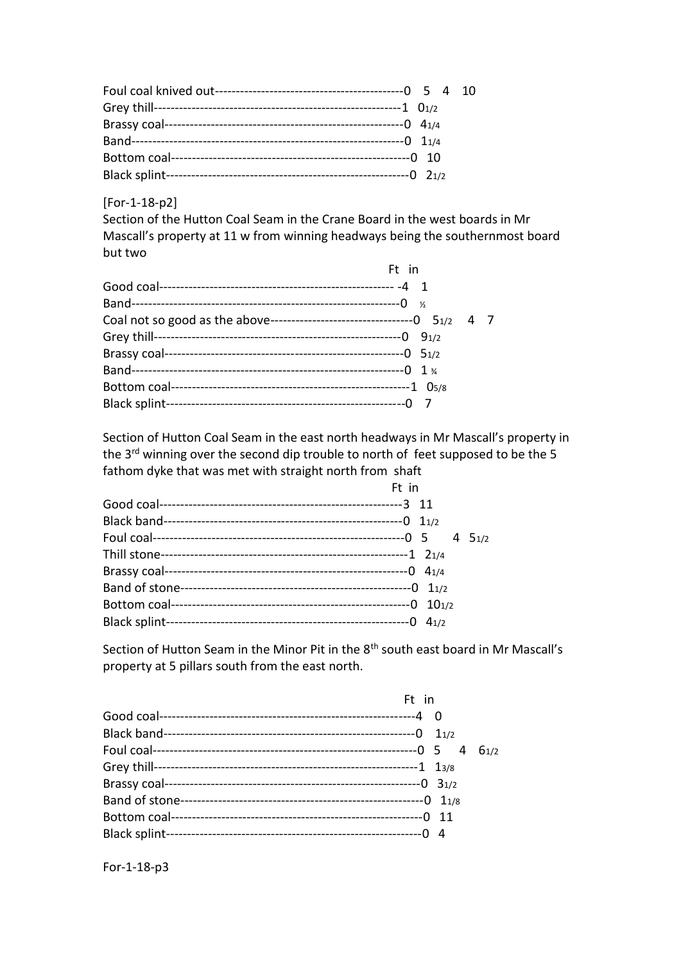[For-1-18-p2]

Section of the Hutton Coal Seam in the Crane Board in the west boards in Mr Mascall's property at 11 w from winning headways being the southernmost board but two

| Ft in         |  |
|---------------|--|
|               |  |
| $\frac{1}{2}$ |  |
|               |  |
|               |  |
|               |  |
|               |  |
|               |  |
|               |  |

Section of Hutton Coal Seam in the east north headways in Mr Mascall's property in the 3<sup>rd</sup> winning over the second dip trouble to north of feet supposed to be the 5 fathom dyke that was met with straight north from shaft

| Ft in    |
|----------|
|          |
|          |
| 4 $51/2$ |
|          |
|          |
|          |
|          |
|          |
|          |

Section of Hutton Seam in the Minor Pit in the 8<sup>th</sup> south east board in Mr Mascall's property at 5 pillars south from the east north.

|                | Ft in |      |
|----------------|-------|------|
|                |       |      |
|                | 11/2  |      |
|                |       | 61/2 |
|                |       |      |
|                |       |      |
| Band of stone- |       |      |
|                |       |      |
|                |       |      |

For-1-18-p3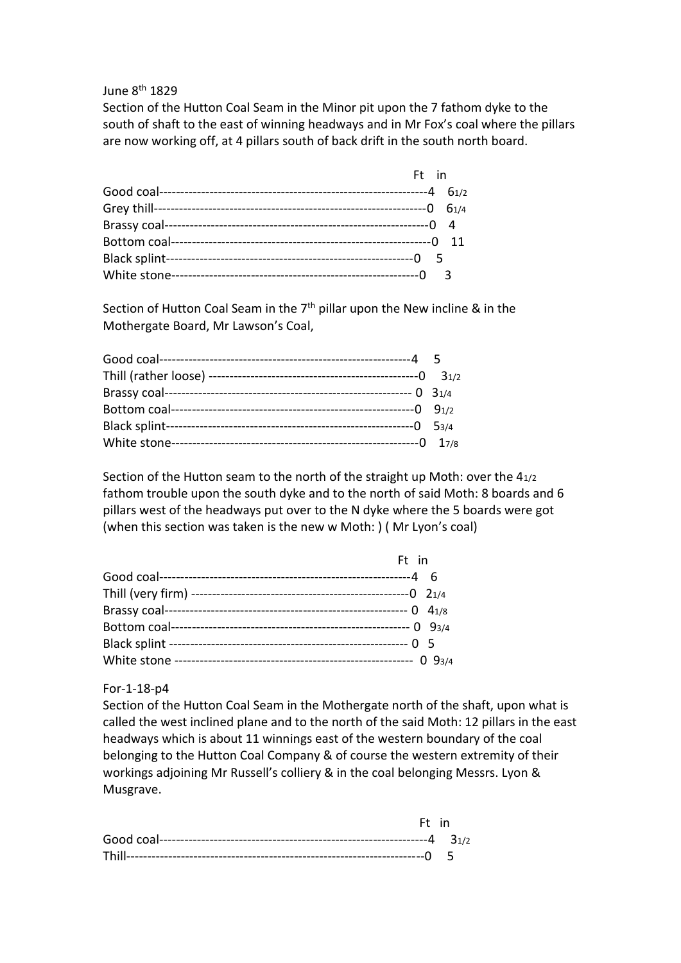#### June 8th 1829

Section of the Hutton Coal Seam in the Minor pit upon the 7 fathom dyke to the south of shaft to the east of winning headways and in Mr Fox's coal where the pillars are now working off, at 4 pillars south of back drift in the south north board.

|  | Ft in |
|--|-------|
|  |       |
|  |       |
|  |       |
|  |       |
|  |       |
|  |       |

Section of Hutton Coal Seam in the  $7<sup>th</sup>$  pillar upon the New incline & in the Mothergate Board, Mr Lawson's Coal,

Section of the Hutton seam to the north of the straight up Moth: over the 41/2 fathom trouble upon the south dyke and to the north of said Moth: 8 boards and 6 pillars west of the headways put over to the N dyke where the 5 boards were got (when this section was taken is the new w Moth: ) ( Mr Lyon's coal)

| Ft in |  |
|-------|--|
|       |  |
|       |  |
|       |  |
|       |  |
|       |  |
|       |  |

#### For-1-18-p4

Section of the Hutton Coal Seam in the Mothergate north of the shaft, upon what is called the west inclined plane and to the north of the said Moth: 12 pillars in the east headways which is about 11 winnings east of the western boundary of the coal belonging to the Hutton Coal Company & of course the western extremity of their workings adjoining Mr Russell's colliery & in the coal belonging Messrs. Lyon & Musgrave.

|  | Ft in |
|--|-------|
|  |       |
|  |       |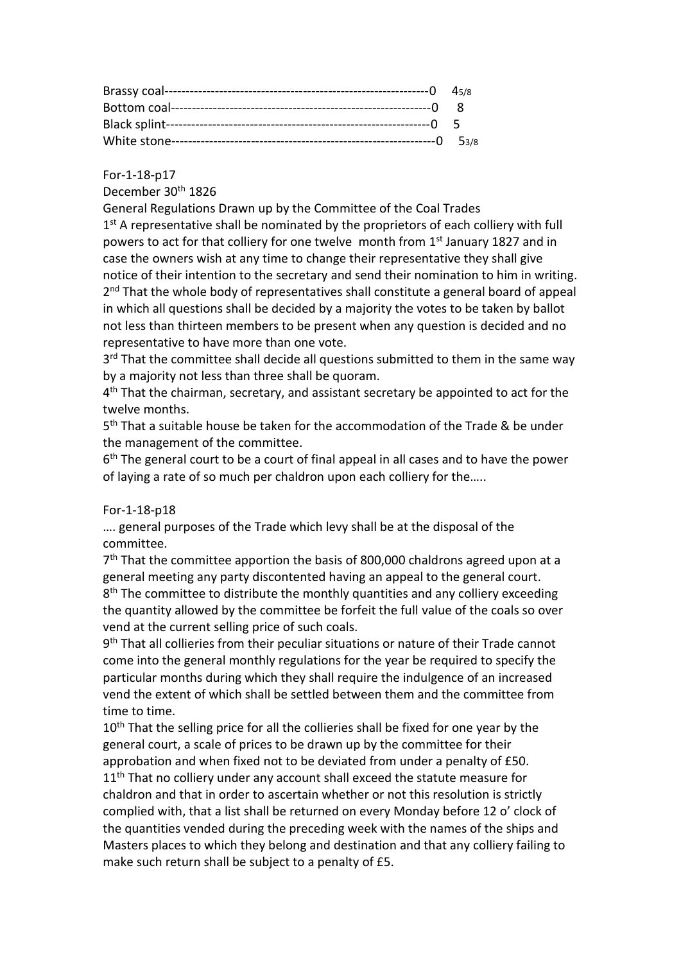For-1-18-p17

December 30<sup>th</sup> 1826

General Regulations Drawn up by the Committee of the Coal Trades 1<sup>st</sup> A representative shall be nominated by the proprietors of each colliery with full powers to act for that colliery for one twelve month from 1<sup>st</sup> January 1827 and in case the owners wish at any time to change their representative they shall give notice of their intention to the secretary and send their nomination to him in writing. 2<sup>nd</sup> That the whole body of representatives shall constitute a general board of appeal in which all questions shall be decided by a majority the votes to be taken by ballot not less than thirteen members to be present when any question is decided and no representative to have more than one vote.

3<sup>rd</sup> That the committee shall decide all questions submitted to them in the same way by a majority not less than three shall be quoram.

4<sup>th</sup> That the chairman, secretary, and assistant secretary be appointed to act for the twelve months.

5<sup>th</sup> That a suitable house be taken for the accommodation of the Trade & be under the management of the committee.

6<sup>th</sup> The general court to be a court of final appeal in all cases and to have the power of laying a rate of so much per chaldron upon each colliery for the…..

## For-1-18-p18

…. general purposes of the Trade which levy shall be at the disposal of the committee.

7<sup>th</sup> That the committee apportion the basis of 800,000 chaldrons agreed upon at a general meeting any party discontented having an appeal to the general court. 8<sup>th</sup> The committee to distribute the monthly quantities and any colliery exceeding the quantity allowed by the committee be forfeit the full value of the coals so over vend at the current selling price of such coals.

9<sup>th</sup> That all collieries from their peculiar situations or nature of their Trade cannot come into the general monthly regulations for the year be required to specify the particular months during which they shall require the indulgence of an increased vend the extent of which shall be settled between them and the committee from time to time.

10<sup>th</sup> That the selling price for all the collieries shall be fixed for one year by the general court, a scale of prices to be drawn up by the committee for their approbation and when fixed not to be deviated from under a penalty of £50.  $11<sup>th</sup>$  That no colliery under any account shall exceed the statute measure for chaldron and that in order to ascertain whether or not this resolution is strictly complied with, that a list shall be returned on every Monday before 12 o' clock of the quantities vended during the preceding week with the names of the ships and Masters places to which they belong and destination and that any colliery failing to make such return shall be subject to a penalty of £5.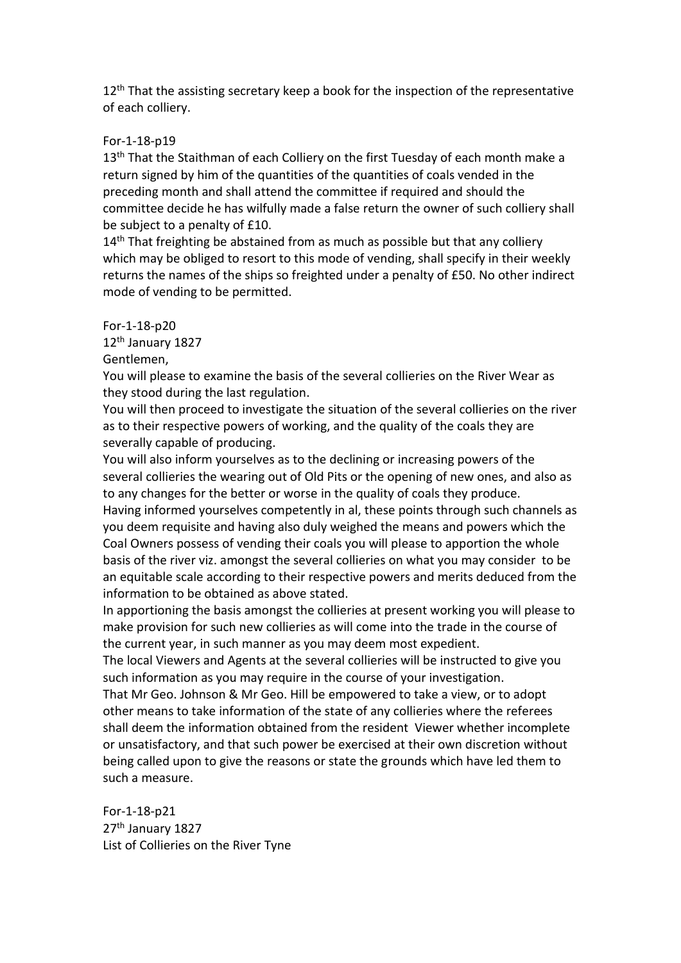$12<sup>th</sup>$  That the assisting secretary keep a book for the inspection of the representative of each colliery.

## For-1-18-p19

13<sup>th</sup> That the Staithman of each Colliery on the first Tuesday of each month make a return signed by him of the quantities of the quantities of coals vended in the preceding month and shall attend the committee if required and should the committee decide he has wilfully made a false return the owner of such colliery shall be subject to a penalty of £10.

14<sup>th</sup> That freighting be abstained from as much as possible but that any colliery which may be obliged to resort to this mode of vending, shall specify in their weekly returns the names of the ships so freighted under a penalty of £50. No other indirect mode of vending to be permitted.

#### For-1-18-p20

12th January 1827

## Gentlemen,

You will please to examine the basis of the several collieries on the River Wear as they stood during the last regulation.

You will then proceed to investigate the situation of the several collieries on the river as to their respective powers of working, and the quality of the coals they are severally capable of producing.

You will also inform yourselves as to the declining or increasing powers of the several collieries the wearing out of Old Pits or the opening of new ones, and also as to any changes for the better or worse in the quality of coals they produce.

Having informed yourselves competently in al, these points through such channels as you deem requisite and having also duly weighed the means and powers which the Coal Owners possess of vending their coals you will please to apportion the whole basis of the river viz. amongst the several collieries on what you may consider to be an equitable scale according to their respective powers and merits deduced from the information to be obtained as above stated.

In apportioning the basis amongst the collieries at present working you will please to make provision for such new collieries as will come into the trade in the course of the current year, in such manner as you may deem most expedient.

The local Viewers and Agents at the several collieries will be instructed to give you such information as you may require in the course of your investigation.

That Mr Geo. Johnson & Mr Geo. Hill be empowered to take a view, or to adopt other means to take information of the state of any collieries where the referees shall deem the information obtained from the resident Viewer whether incomplete or unsatisfactory, and that such power be exercised at their own discretion without being called upon to give the reasons or state the grounds which have led them to such a measure.

For-1-18-p21 27<sup>th</sup> January 1827 List of Collieries on the River Tyne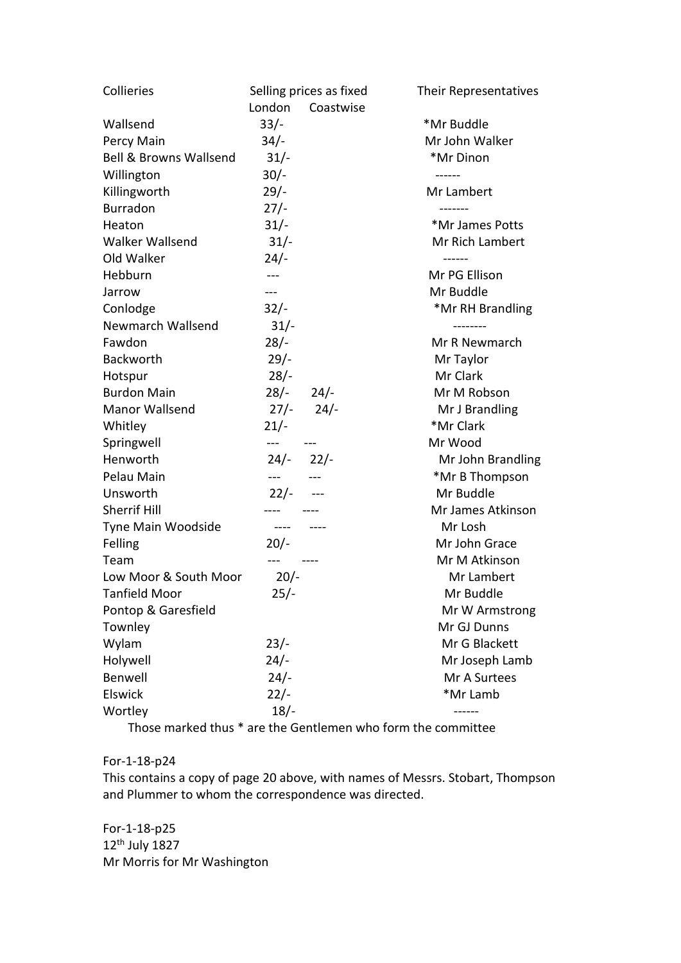| Collieries                        |               | Selling prices as fixed | Their Representatives |
|-----------------------------------|---------------|-------------------------|-----------------------|
|                                   | London        | Coastwise               |                       |
| Wallsend                          | $33/-$        |                         | *Mr Buddle            |
| Percy Main                        | $34/-$        |                         | Mr John Walker        |
| <b>Bell &amp; Browns Wallsend</b> | $31/-$        |                         | *Mr Dinon             |
| Willington                        | $30/-$        |                         | ------                |
| Killingworth                      | $29/-$        |                         | Mr Lambert            |
| <b>Burradon</b>                   | $27/-$        |                         |                       |
| Heaton                            | $31/-$        |                         | *Mr James Potts       |
| <b>Walker Wallsend</b>            | $31/-$        |                         | Mr Rich Lambert       |
| Old Walker                        | $24/-$        |                         |                       |
| Hebburn                           | $---$         |                         | Mr PG Ellison         |
| Jarrow                            | $---$         |                         | Mr Buddle             |
| Conlodge                          | $32/-$        |                         | *Mr RH Brandling      |
| Newmarch Wallsend                 | $31/-$        |                         | --------              |
| Fawdon                            | $28/-$        |                         | Mr R Newmarch         |
| <b>Backworth</b>                  | $29/-$        |                         | Mr Taylor             |
| Hotspur                           | $28/-$        |                         | Mr Clark              |
| <b>Burdon Main</b>                | $28/-$ 24/-   |                         | Mr M Robson           |
| <b>Manor Wallsend</b>             |               | $27/- 24/-$             | Mr J Brandling        |
| Whitley                           | $21/-$        |                         | *Mr Clark             |
| Springwell                        | $---$         |                         | Mr Wood               |
| Henworth                          | $24/-$ 22/-   |                         | Mr John Brandling     |
| Pelau Main                        | $- - -$       |                         | *Mr B Thompson        |
| Unsworth                          | $22/-$        |                         | Mr Buddle             |
| <b>Sherrif Hill</b>               |               |                         | Mr James Atkinson     |
| Tyne Main Woodside                | $\frac{1}{2}$ | $\frac{1}{2}$           | Mr Losh               |
| Felling                           | $20/-$        |                         | Mr John Grace         |
| Team                              |               |                         | Mr M Atkinson         |
| Low Moor & South Moor             | $20/-$        |                         | Mr Lambert            |
| Tanfield Moor                     | 25/-          |                         | Mr Buddle             |
| Pontop & Garesfield               |               |                         | Mr W Armstrong        |
| Townley                           |               |                         | Mr GJ Dunns           |
| Wylam                             | $23/-$        |                         | Mr G Blackett         |
| Holywell                          | $24/-$        |                         | Mr Joseph Lamb        |
| Benwell                           | $24/-$        |                         | Mr A Surtees          |
| Elswick                           | $22/-$        |                         | *Mr Lamb              |
| Wortley                           | $18/-$        |                         |                       |

Those marked thus \* are the Gentlemen who form the committee

## For-1-18-p24

This contains a copy of page 20 above, with names of Messrs. Stobart, Thompson and Plummer to whom the correspondence was directed.

For-1-18-p25 12th July 1827 Mr Morris for Mr Washington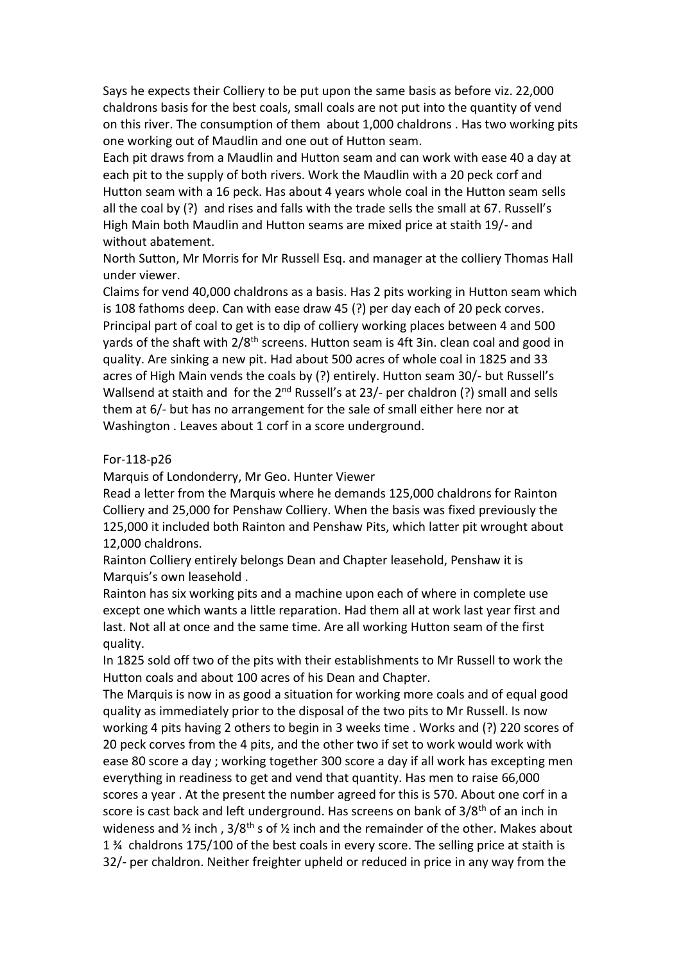Says he expects their Colliery to be put upon the same basis as before viz. 22,000 chaldrons basis for the best coals, small coals are not put into the quantity of vend on this river. The consumption of them about 1,000 chaldrons . Has two working pits one working out of Maudlin and one out of Hutton seam.

Each pit draws from a Maudlin and Hutton seam and can work with ease 40 a day at each pit to the supply of both rivers. Work the Maudlin with a 20 peck corf and Hutton seam with a 16 peck. Has about 4 years whole coal in the Hutton seam sells all the coal by (?) and rises and falls with the trade sells the small at 67. Russell's High Main both Maudlin and Hutton seams are mixed price at staith 19/- and without abatement.

North Sutton, Mr Morris for Mr Russell Esq. and manager at the colliery Thomas Hall under viewer.

Claims for vend 40,000 chaldrons as a basis. Has 2 pits working in Hutton seam which is 108 fathoms deep. Can with ease draw 45 (?) per day each of 20 peck corves. Principal part of coal to get is to dip of colliery working places between 4 and 500 yards of the shaft with  $2/8<sup>th</sup>$  screens. Hutton seam is 4ft 3in. clean coal and good in quality. Are sinking a new pit. Had about 500 acres of whole coal in 1825 and 33 acres of High Main vends the coals by (?) entirely. Hutton seam 30/- but Russell's Wallsend at staith and for the  $2^{nd}$  Russell's at 23/- per chaldron (?) small and sells them at 6/- but has no arrangement for the sale of small either here nor at Washington . Leaves about 1 corf in a score underground.

#### For-118-p26

Marquis of Londonderry, Mr Geo. Hunter Viewer

Read a letter from the Marquis where he demands 125,000 chaldrons for Rainton Colliery and 25,000 for Penshaw Colliery. When the basis was fixed previously the 125,000 it included both Rainton and Penshaw Pits, which latter pit wrought about 12,000 chaldrons.

Rainton Colliery entirely belongs Dean and Chapter leasehold, Penshaw it is Marquis's own leasehold .

Rainton has six working pits and a machine upon each of where in complete use except one which wants a little reparation. Had them all at work last year first and last. Not all at once and the same time. Are all working Hutton seam of the first quality.

In 1825 sold off two of the pits with their establishments to Mr Russell to work the Hutton coals and about 100 acres of his Dean and Chapter.

The Marquis is now in as good a situation for working more coals and of equal good quality as immediately prior to the disposal of the two pits to Mr Russell. Is now working 4 pits having 2 others to begin in 3 weeks time . Works and (?) 220 scores of 20 peck corves from the 4 pits, and the other two if set to work would work with ease 80 score a day ; working together 300 score a day if all work has excepting men everything in readiness to get and vend that quantity. Has men to raise 66,000 scores a year . At the present the number agreed for this is 570. About one corf in a score is cast back and left underground. Has screens on bank of 3/8<sup>th</sup> of an inch in wideness and  $\frac{1}{2}$  inch, 3/8<sup>th</sup> s of  $\frac{1}{2}$  inch and the remainder of the other. Makes about 1 ¾ chaldrons 175/100 of the best coals in every score. The selling price at staith is 32/- per chaldron. Neither freighter upheld or reduced in price in any way from the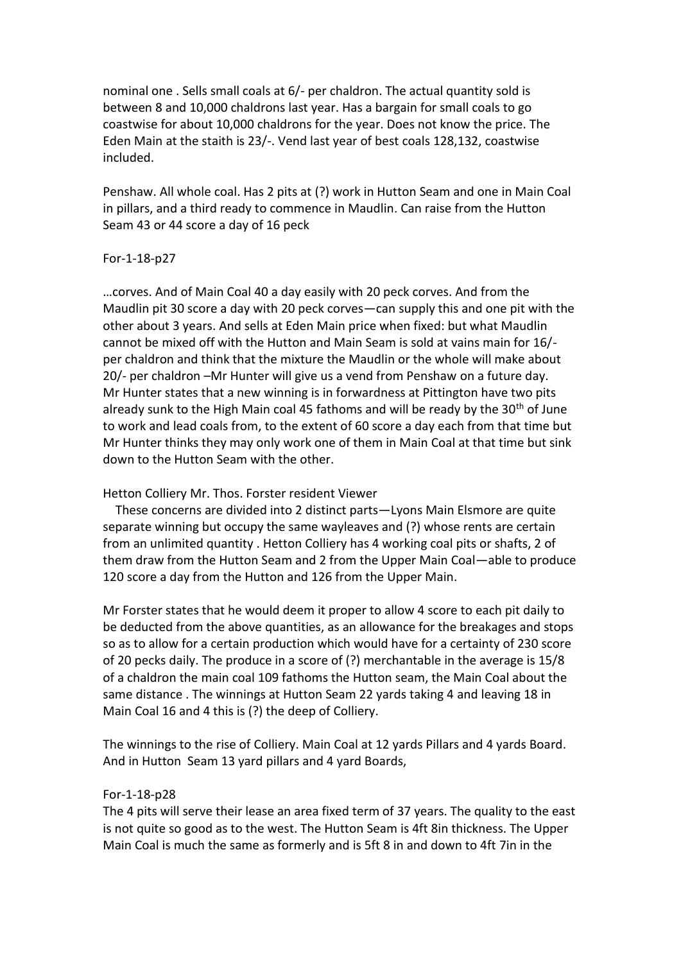nominal one . Sells small coals at 6/- per chaldron. The actual quantity sold is between 8 and 10,000 chaldrons last year. Has a bargain for small coals to go coastwise for about 10,000 chaldrons for the year. Does not know the price. The Eden Main at the staith is 23/-. Vend last year of best coals 128,132, coastwise included.

Penshaw. All whole coal. Has 2 pits at (?) work in Hutton Seam and one in Main Coal in pillars, and a third ready to commence in Maudlin. Can raise from the Hutton Seam 43 or 44 score a day of 16 peck

#### For-1-18-p27

…corves. And of Main Coal 40 a day easily with 20 peck corves. And from the Maudlin pit 30 score a day with 20 peck corves—can supply this and one pit with the other about 3 years. And sells at Eden Main price when fixed: but what Maudlin cannot be mixed off with the Hutton and Main Seam is sold at vains main for 16/ per chaldron and think that the mixture the Maudlin or the whole will make about 20/- per chaldron –Mr Hunter will give us a vend from Penshaw on a future day. Mr Hunter states that a new winning is in forwardness at Pittington have two pits already sunk to the High Main coal 45 fathoms and will be ready by the  $30<sup>th</sup>$  of June to work and lead coals from, to the extent of 60 score a day each from that time but Mr Hunter thinks they may only work one of them in Main Coal at that time but sink down to the Hutton Seam with the other.

#### Hetton Colliery Mr. Thos. Forster resident Viewer

 These concerns are divided into 2 distinct parts—Lyons Main Elsmore are quite separate winning but occupy the same wayleaves and (?) whose rents are certain from an unlimited quantity . Hetton Colliery has 4 working coal pits or shafts, 2 of them draw from the Hutton Seam and 2 from the Upper Main Coal—able to produce 120 score a day from the Hutton and 126 from the Upper Main.

Mr Forster states that he would deem it proper to allow 4 score to each pit daily to be deducted from the above quantities, as an allowance for the breakages and stops so as to allow for a certain production which would have for a certainty of 230 score of 20 pecks daily. The produce in a score of (?) merchantable in the average is 15/8 of a chaldron the main coal 109 fathoms the Hutton seam, the Main Coal about the same distance . The winnings at Hutton Seam 22 yards taking 4 and leaving 18 in Main Coal 16 and 4 this is (?) the deep of Colliery.

The winnings to the rise of Colliery. Main Coal at 12 yards Pillars and 4 yards Board. And in Hutton Seam 13 yard pillars and 4 yard Boards,

#### For-1-18-p28

The 4 pits will serve their lease an area fixed term of 37 years. The quality to the east is not quite so good as to the west. The Hutton Seam is 4ft 8in thickness. The Upper Main Coal is much the same as formerly and is 5ft 8 in and down to 4ft 7in in the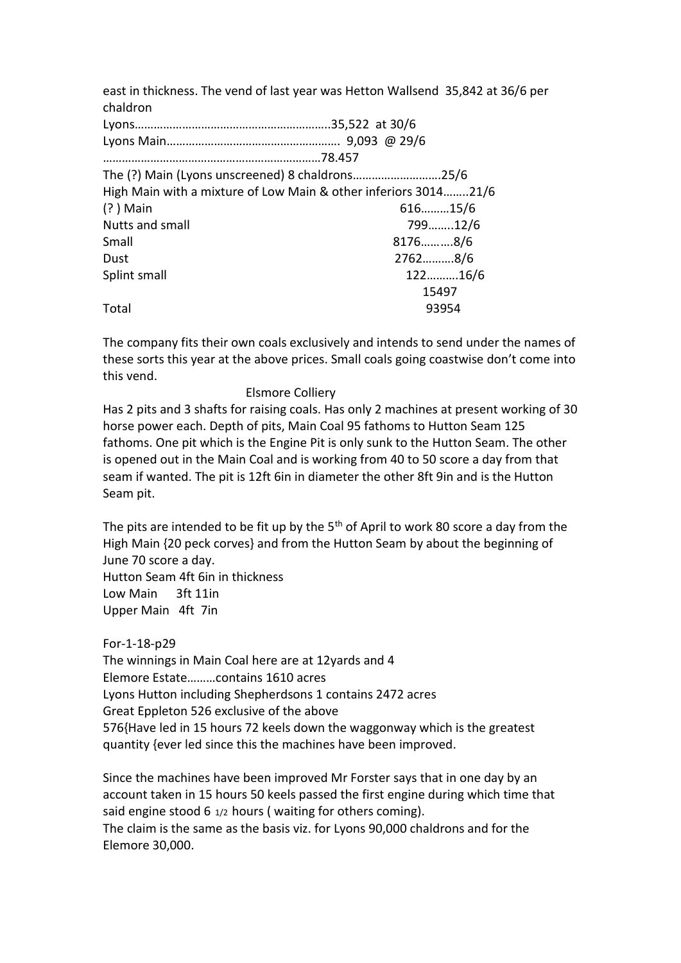east in thickness. The vend of last year was Hetton Wallsend 35,842 at 36/6 per chaldron Lyons……………………………………………………..35,522 at 30/6 Lyons Main………………………………………………. 9,093 @ 29/6 ……………………………………………………………78.457 The (?) Main (Lyons unscreened) 8 chaldrons……………………….25/6 High Main with a mixture of Low Main & other inferiors 3014……..21/6 (? ) Main 616………15/6 Nutts and small 799……..12/6 Small 8176……….8/6 Dust 2762……….8/6 Splint small 122……….16/6 15497 Total 93954

The company fits their own coals exclusively and intends to send under the names of these sorts this year at the above prices. Small coals going coastwise don't come into this vend.

## Elsmore Colliery

Has 2 pits and 3 shafts for raising coals. Has only 2 machines at present working of 30 horse power each. Depth of pits, Main Coal 95 fathoms to Hutton Seam 125 fathoms. One pit which is the Engine Pit is only sunk to the Hutton Seam. The other is opened out in the Main Coal and is working from 40 to 50 score a day from that seam if wanted. The pit is 12ft 6in in diameter the other 8ft 9in and is the Hutton Seam pit.

The pits are intended to be fit up by the  $5<sup>th</sup>$  of April to work 80 score a day from the High Main {20 peck corves} and from the Hutton Seam by about the beginning of June 70 score a day. Hutton Seam 4ft 6in in thickness Low Main 3ft 11in Upper Main 4ft 7in

For-1-18-p29

The winnings in Main Coal here are at 12yards and 4 Elemore Estate………contains 1610 acres Lyons Hutton including Shepherdsons 1 contains 2472 acres Great Eppleton 526 exclusive of the above 576{Have led in 15 hours 72 keels down the waggonway which is the greatest quantity {ever led since this the machines have been improved.

Since the machines have been improved Mr Forster says that in one day by an account taken in 15 hours 50 keels passed the first engine during which time that said engine stood 6  $1/2$  hours (waiting for others coming).

The claim is the same as the basis viz. for Lyons 90,000 chaldrons and for the Elemore 30,000.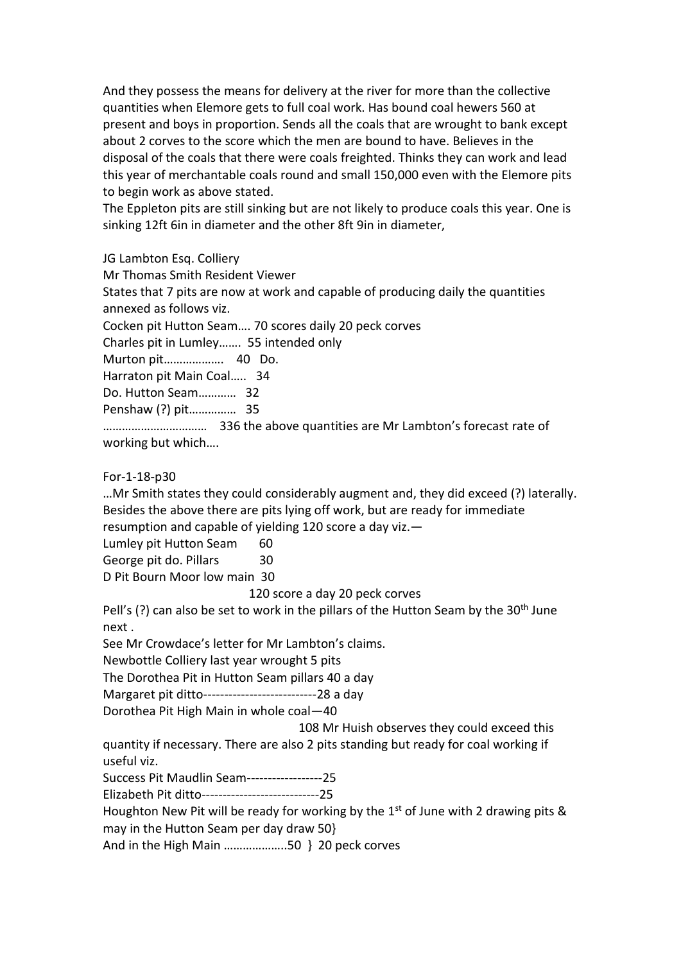And they possess the means for delivery at the river for more than the collective quantities when Elemore gets to full coal work. Has bound coal hewers 560 at present and boys in proportion. Sends all the coals that are wrought to bank except about 2 corves to the score which the men are bound to have. Believes in the disposal of the coals that there were coals freighted. Thinks they can work and lead this year of merchantable coals round and small 150,000 even with the Elemore pits to begin work as above stated.

The Eppleton pits are still sinking but are not likely to produce coals this year. One is sinking 12ft 6in in diameter and the other 8ft 9in in diameter,

JG Lambton Esq. Colliery

Mr Thomas Smith Resident Viewer

States that 7 pits are now at work and capable of producing daily the quantities annexed as follows viz.

Cocken pit Hutton Seam…. 70 scores daily 20 peck corves

Charles pit in Lumley……. 55 intended only

Murton pit………………. 40 Do.

Harraton pit Main Coal….. 34

Do. Hutton Seam………… 32

Penshaw (?) pit…………… 35

…………………………… 336 the above quantities are Mr Lambton's forecast rate of working but which….

For-1-18-p30

…Mr Smith states they could considerably augment and, they did exceed (?) laterally. Besides the above there are pits lying off work, but are ready for immediate resumption and capable of yielding 120 score a day viz.—

Lumley pit Hutton Seam 60

George pit do. Pillars 30

D Pit Bourn Moor low main 30

120 score a day 20 peck corves

Pell's (?) can also be set to work in the pillars of the Hutton Seam by the  $30<sup>th</sup>$  June next .

See Mr Crowdace's letter for Mr Lambton's claims.

Newbottle Colliery last year wrought 5 pits

The Dorothea Pit in Hutton Seam pillars 40 a day

Margaret pit ditto---------------------------28 a day

Dorothea Pit High Main in whole coal—40

108 Mr Huish observes they could exceed this

quantity if necessary. There are also 2 pits standing but ready for coal working if useful viz.

Success Pit Maudlin Seam------------------25

Elizabeth Pit ditto----------------------------25

Houghton New Pit will be ready for working by the  $1<sup>st</sup>$  of June with 2 drawing pits & may in the Hutton Seam per day draw 50}

And in the High Main ………………..50 } 20 peck corves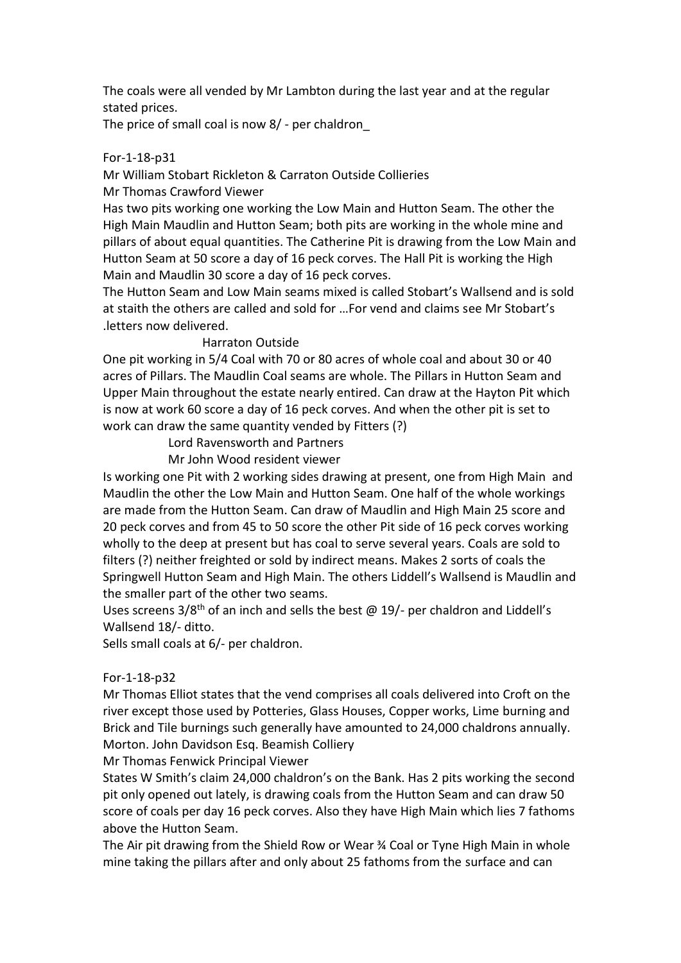The coals were all vended by Mr Lambton during the last year and at the regular stated prices.

The price of small coal is now 8/ - per chaldron\_

## For-1-18-p31

Mr William Stobart Rickleton & Carraton Outside Collieries Mr Thomas Crawford Viewer

Has two pits working one working the Low Main and Hutton Seam. The other the High Main Maudlin and Hutton Seam; both pits are working in the whole mine and pillars of about equal quantities. The Catherine Pit is drawing from the Low Main and Hutton Seam at 50 score a day of 16 peck corves. The Hall Pit is working the High Main and Maudlin 30 score a day of 16 peck corves.

The Hutton Seam and Low Main seams mixed is called Stobart's Wallsend and is sold at staith the others are called and sold for …For vend and claims see Mr Stobart's .letters now delivered.

## Harraton Outside

One pit working in 5/4 Coal with 70 or 80 acres of whole coal and about 30 or 40 acres of Pillars. The Maudlin Coal seams are whole. The Pillars in Hutton Seam and Upper Main throughout the estate nearly entired. Can draw at the Hayton Pit which is now at work 60 score a day of 16 peck corves. And when the other pit is set to work can draw the same quantity vended by Fitters (?)

Lord Ravensworth and Partners

Mr John Wood resident viewer

Is working one Pit with 2 working sides drawing at present, one from High Main and Maudlin the other the Low Main and Hutton Seam. One half of the whole workings are made from the Hutton Seam. Can draw of Maudlin and High Main 25 score and 20 peck corves and from 45 to 50 score the other Pit side of 16 peck corves working wholly to the deep at present but has coal to serve several years. Coals are sold to filters (?) neither freighted or sold by indirect means. Makes 2 sorts of coals the Springwell Hutton Seam and High Main. The others Liddell's Wallsend is Maudlin and the smaller part of the other two seams.

Uses screens  $3/8<sup>th</sup>$  of an inch and sells the best @ 19/- per chaldron and Liddell's Wallsend 18/- ditto.

Sells small coals at 6/- per chaldron.

## For-1-18-p32

Mr Thomas Elliot states that the vend comprises all coals delivered into Croft on the river except those used by Potteries, Glass Houses, Copper works, Lime burning and Brick and Tile burnings such generally have amounted to 24,000 chaldrons annually. Morton. John Davidson Esq. Beamish Colliery

## Mr Thomas Fenwick Principal Viewer

States W Smith's claim 24,000 chaldron's on the Bank. Has 2 pits working the second pit only opened out lately, is drawing coals from the Hutton Seam and can draw 50 score of coals per day 16 peck corves. Also they have High Main which lies 7 fathoms above the Hutton Seam.

The Air pit drawing from the Shield Row or Wear ¾ Coal or Tyne High Main in whole mine taking the pillars after and only about 25 fathoms from the surface and can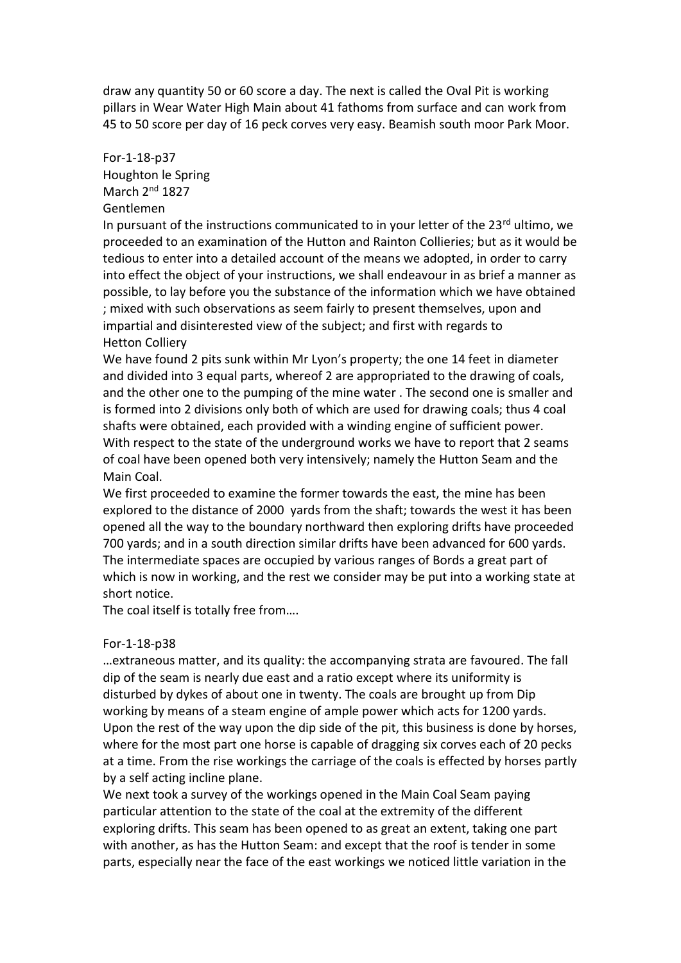draw any quantity 50 or 60 score a day. The next is called the Oval Pit is working pillars in Wear Water High Main about 41 fathoms from surface and can work from 45 to 50 score per day of 16 peck corves very easy. Beamish south moor Park Moor.

## For-1-18-p37 Houghton le Spring March 2nd 1827 Gentlemen

In pursuant of the instructions communicated to in your letter of the  $23<sup>rd</sup>$  ultimo, we proceeded to an examination of the Hutton and Rainton Collieries; but as it would be tedious to enter into a detailed account of the means we adopted, in order to carry into effect the object of your instructions, we shall endeavour in as brief a manner as possible, to lay before you the substance of the information which we have obtained ; mixed with such observations as seem fairly to present themselves, upon and impartial and disinterested view of the subject; and first with regards to Hetton Colliery

We have found 2 pits sunk within Mr Lyon's property; the one 14 feet in diameter and divided into 3 equal parts, whereof 2 are appropriated to the drawing of coals, and the other one to the pumping of the mine water . The second one is smaller and is formed into 2 divisions only both of which are used for drawing coals; thus 4 coal shafts were obtained, each provided with a winding engine of sufficient power. With respect to the state of the underground works we have to report that 2 seams of coal have been opened both very intensively; namely the Hutton Seam and the Main Coal.

We first proceeded to examine the former towards the east, the mine has been explored to the distance of 2000 yards from the shaft; towards the west it has been opened all the way to the boundary northward then exploring drifts have proceeded 700 yards; and in a south direction similar drifts have been advanced for 600 yards. The intermediate spaces are occupied by various ranges of Bords a great part of which is now in working, and the rest we consider may be put into a working state at short notice.

The coal itself is totally free from….

## For-1-18-p38

…extraneous matter, and its quality: the accompanying strata are favoured. The fall dip of the seam is nearly due east and a ratio except where its uniformity is disturbed by dykes of about one in twenty. The coals are brought up from Dip working by means of a steam engine of ample power which acts for 1200 yards. Upon the rest of the way upon the dip side of the pit, this business is done by horses, where for the most part one horse is capable of dragging six corves each of 20 pecks at a time. From the rise workings the carriage of the coals is effected by horses partly by a self acting incline plane.

We next took a survey of the workings opened in the Main Coal Seam paying particular attention to the state of the coal at the extremity of the different exploring drifts. This seam has been opened to as great an extent, taking one part with another, as has the Hutton Seam: and except that the roof is tender in some parts, especially near the face of the east workings we noticed little variation in the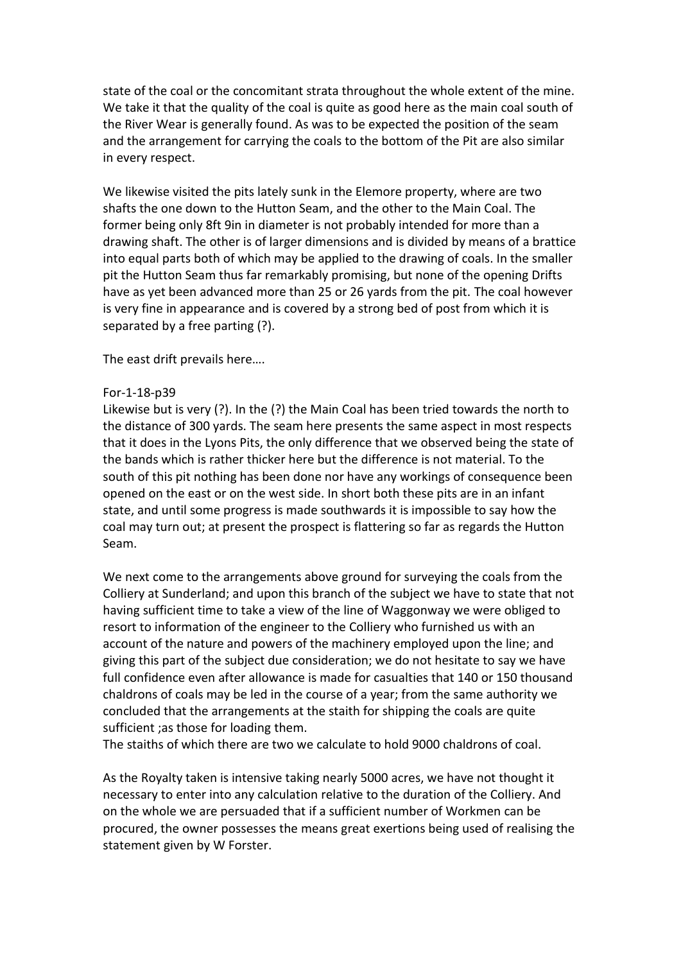state of the coal or the concomitant strata throughout the whole extent of the mine. We take it that the quality of the coal is quite as good here as the main coal south of the River Wear is generally found. As was to be expected the position of the seam and the arrangement for carrying the coals to the bottom of the Pit are also similar in every respect.

We likewise visited the pits lately sunk in the Elemore property, where are two shafts the one down to the Hutton Seam, and the other to the Main Coal. The former being only 8ft 9in in diameter is not probably intended for more than a drawing shaft. The other is of larger dimensions and is divided by means of a brattice into equal parts both of which may be applied to the drawing of coals. In the smaller pit the Hutton Seam thus far remarkably promising, but none of the opening Drifts have as yet been advanced more than 25 or 26 yards from the pit. The coal however is very fine in appearance and is covered by a strong bed of post from which it is separated by a free parting (?).

The east drift prevails here….

#### For-1-18-p39

Likewise but is very (?). In the (?) the Main Coal has been tried towards the north to the distance of 300 yards. The seam here presents the same aspect in most respects that it does in the Lyons Pits, the only difference that we observed being the state of the bands which is rather thicker here but the difference is not material. To the south of this pit nothing has been done nor have any workings of consequence been opened on the east or on the west side. In short both these pits are in an infant state, and until some progress is made southwards it is impossible to say how the coal may turn out; at present the prospect is flattering so far as regards the Hutton Seam.

We next come to the arrangements above ground for surveying the coals from the Colliery at Sunderland; and upon this branch of the subject we have to state that not having sufficient time to take a view of the line of Waggonway we were obliged to resort to information of the engineer to the Colliery who furnished us with an account of the nature and powers of the machinery employed upon the line; and giving this part of the subject due consideration; we do not hesitate to say we have full confidence even after allowance is made for casualties that 140 or 150 thousand chaldrons of coals may be led in the course of a year; from the same authority we concluded that the arrangements at the staith for shipping the coals are quite sufficient ;as those for loading them.

The staiths of which there are two we calculate to hold 9000 chaldrons of coal.

As the Royalty taken is intensive taking nearly 5000 acres, we have not thought it necessary to enter into any calculation relative to the duration of the Colliery. And on the whole we are persuaded that if a sufficient number of Workmen can be procured, the owner possesses the means great exertions being used of realising the statement given by W Forster.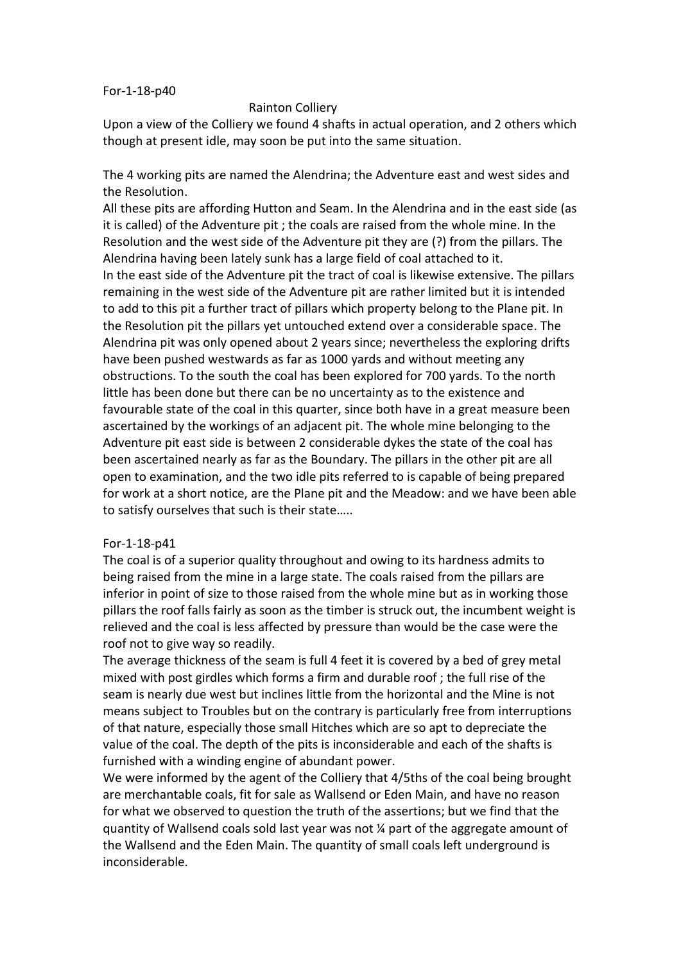#### For-1-18-p40

#### Rainton Colliery

Upon a view of the Colliery we found 4 shafts in actual operation, and 2 others which though at present idle, may soon be put into the same situation.

The 4 working pits are named the Alendrina; the Adventure east and west sides and the Resolution.

All these pits are affording Hutton and Seam. In the Alendrina and in the east side (as it is called) of the Adventure pit ; the coals are raised from the whole mine. In the Resolution and the west side of the Adventure pit they are (?) from the pillars. The Alendrina having been lately sunk has a large field of coal attached to it. In the east side of the Adventure pit the tract of coal is likewise extensive. The pillars remaining in the west side of the Adventure pit are rather limited but it is intended to add to this pit a further tract of pillars which property belong to the Plane pit. In the Resolution pit the pillars yet untouched extend over a considerable space. The Alendrina pit was only opened about 2 years since; nevertheless the exploring drifts have been pushed westwards as far as 1000 yards and without meeting any obstructions. To the south the coal has been explored for 700 yards. To the north little has been done but there can be no uncertainty as to the existence and favourable state of the coal in this quarter, since both have in a great measure been ascertained by the workings of an adjacent pit. The whole mine belonging to the Adventure pit east side is between 2 considerable dykes the state of the coal has been ascertained nearly as far as the Boundary. The pillars in the other pit are all open to examination, and the two idle pits referred to is capable of being prepared for work at a short notice, are the Plane pit and the Meadow: and we have been able to satisfy ourselves that such is their state…..

#### For-1-18-p41

The coal is of a superior quality throughout and owing to its hardness admits to being raised from the mine in a large state. The coals raised from the pillars are inferior in point of size to those raised from the whole mine but as in working those pillars the roof falls fairly as soon as the timber is struck out, the incumbent weight is relieved and the coal is less affected by pressure than would be the case were the roof not to give way so readily.

The average thickness of the seam is full 4 feet it is covered by a bed of grey metal mixed with post girdles which forms a firm and durable roof ; the full rise of the seam is nearly due west but inclines little from the horizontal and the Mine is not means subject to Troubles but on the contrary is particularly free from interruptions of that nature, especially those small Hitches which are so apt to depreciate the value of the coal. The depth of the pits is inconsiderable and each of the shafts is furnished with a winding engine of abundant power.

We were informed by the agent of the Colliery that 4/5ths of the coal being brought are merchantable coals, fit for sale as Wallsend or Eden Main, and have no reason for what we observed to question the truth of the assertions; but we find that the quantity of Wallsend coals sold last year was not  $\chi$  part of the aggregate amount of the Wallsend and the Eden Main. The quantity of small coals left underground is inconsiderable.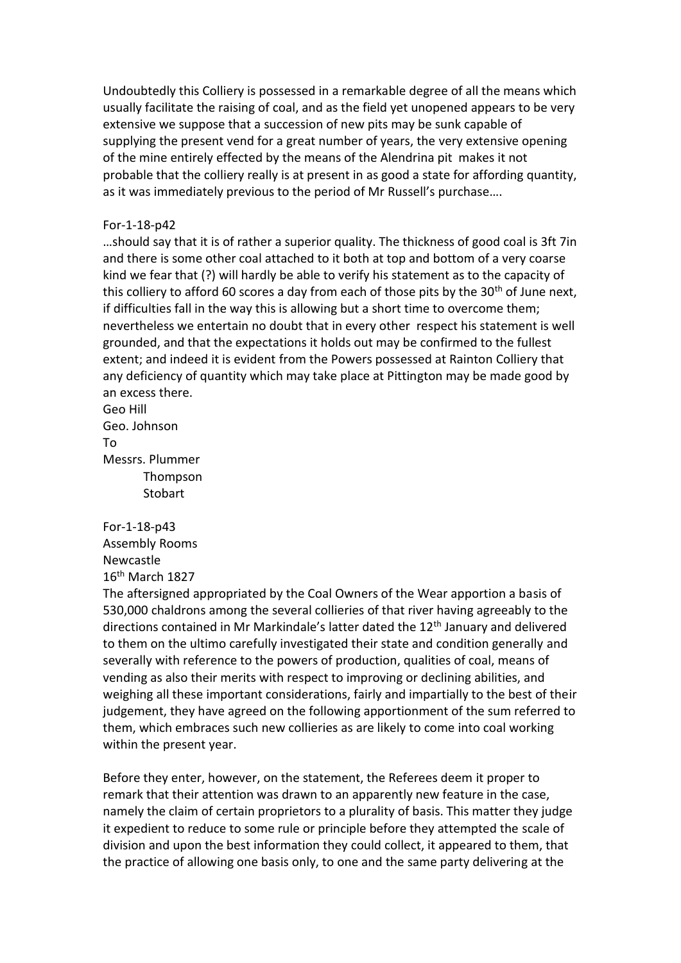Undoubtedly this Colliery is possessed in a remarkable degree of all the means which usually facilitate the raising of coal, and as the field yet unopened appears to be very extensive we suppose that a succession of new pits may be sunk capable of supplying the present vend for a great number of years, the very extensive opening of the mine entirely effected by the means of the Alendrina pit makes it not probable that the colliery really is at present in as good a state for affording quantity, as it was immediately previous to the period of Mr Russell's purchase….

#### For-1-18-p42

…should say that it is of rather a superior quality. The thickness of good coal is 3ft 7in and there is some other coal attached to it both at top and bottom of a very coarse kind we fear that (?) will hardly be able to verify his statement as to the capacity of this colliery to afford 60 scores a day from each of those pits by the  $30<sup>th</sup>$  of June next, if difficulties fall in the way this is allowing but a short time to overcome them; nevertheless we entertain no doubt that in every other respect his statement is well grounded, and that the expectations it holds out may be confirmed to the fullest extent; and indeed it is evident from the Powers possessed at Rainton Colliery that any deficiency of quantity which may take place at Pittington may be made good by an excess there.

Geo Hill Geo. Johnson To Messrs. Plummer Thompson **Stobart** 

For-1-18-p43 Assembly Rooms Newcastle 16th March 1827

The aftersigned appropriated by the Coal Owners of the Wear apportion a basis of 530,000 chaldrons among the several collieries of that river having agreeably to the directions contained in Mr Markindale's latter dated the 12<sup>th</sup> January and delivered to them on the ultimo carefully investigated their state and condition generally and severally with reference to the powers of production, qualities of coal, means of vending as also their merits with respect to improving or declining abilities, and weighing all these important considerations, fairly and impartially to the best of their judgement, they have agreed on the following apportionment of the sum referred to them, which embraces such new collieries as are likely to come into coal working within the present year.

Before they enter, however, on the statement, the Referees deem it proper to remark that their attention was drawn to an apparently new feature in the case, namely the claim of certain proprietors to a plurality of basis. This matter they judge it expedient to reduce to some rule or principle before they attempted the scale of division and upon the best information they could collect, it appeared to them, that the practice of allowing one basis only, to one and the same party delivering at the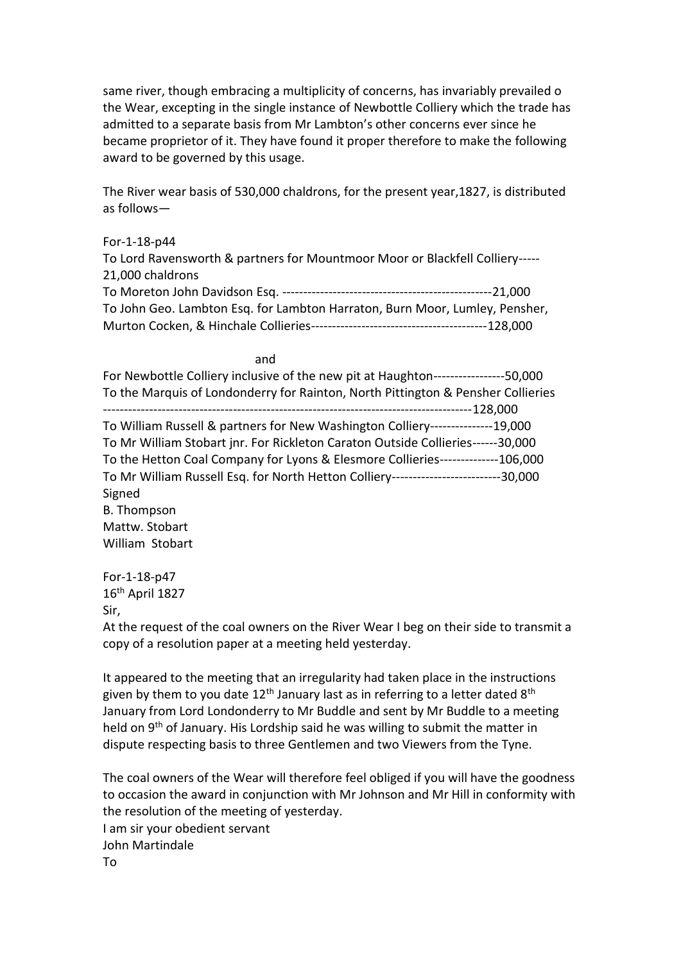same river, though embracing a multiplicity of concerns, has invariably prevailed o the Wear, excepting in the single instance of Newbottle Colliery which the trade has admitted to a separate basis from Mr Lambton's other concerns ever since he became proprietor of it. They have found it proper therefore to make the following award to be governed by this usage.

The River wear basis of 530,000 chaldrons, for the present year,1827, is distributed as follows—

#### For-1-18-p44

To Lord Ravensworth & partners for Mountmoor Moor or Blackfell Colliery----- 21,000 chaldrons To Moreton John Davidson Esq. --------------------------------------------------21,000 To John Geo. Lambton Esq. for Lambton Harraton, Burn Moor, Lumley, Pensher, Murton Cocken, & Hinchale Collieries------------------------------------------128,000

#### and the control of the control of the control of the control of the control of the control of the control of t

| For Newbottle Colliery inclusive of the new pit at Haughton------------------50,000   |  |
|---------------------------------------------------------------------------------------|--|
| To the Marquis of Londonderry for Rainton, North Pittington & Pensher Collieries      |  |
|                                                                                       |  |
| To William Russell & partners for New Washington Colliery---------------19,000        |  |
| To Mr William Stobart jnr. For Rickleton Caraton Outside Collieries------30,000       |  |
| To the Hetton Coal Company for Lyons & Elesmore Collieries--------------106,000       |  |
| To Mr William Russell Esq. for North Hetton Colliery---------------------------30,000 |  |
| Signed                                                                                |  |
| B. Thompson                                                                           |  |
| Mattw. Stobart                                                                        |  |
| William Stobart                                                                       |  |

For-1-18-p47  $16<sup>th</sup>$  April 1827 Sir,

At the request of the coal owners on the River Wear I beg on their side to transmit a copy of a resolution paper at a meeting held yesterday.

It appeared to the meeting that an irregularity had taken place in the instructions given by them to you date  $12<sup>th</sup>$  January last as in referring to a letter dated  $8<sup>th</sup>$ January from Lord Londonderry to Mr Buddle and sent by Mr Buddle to a meeting held on 9<sup>th</sup> of January. His Lordship said he was willing to submit the matter in dispute respecting basis to three Gentlemen and two Viewers from the Tyne.

The coal owners of the Wear will therefore feel obliged if you will have the goodness to occasion the award in conjunction with Mr Johnson and Mr Hill in conformity with the resolution of the meeting of yesterday. I am sir your obedient servant John Martindale To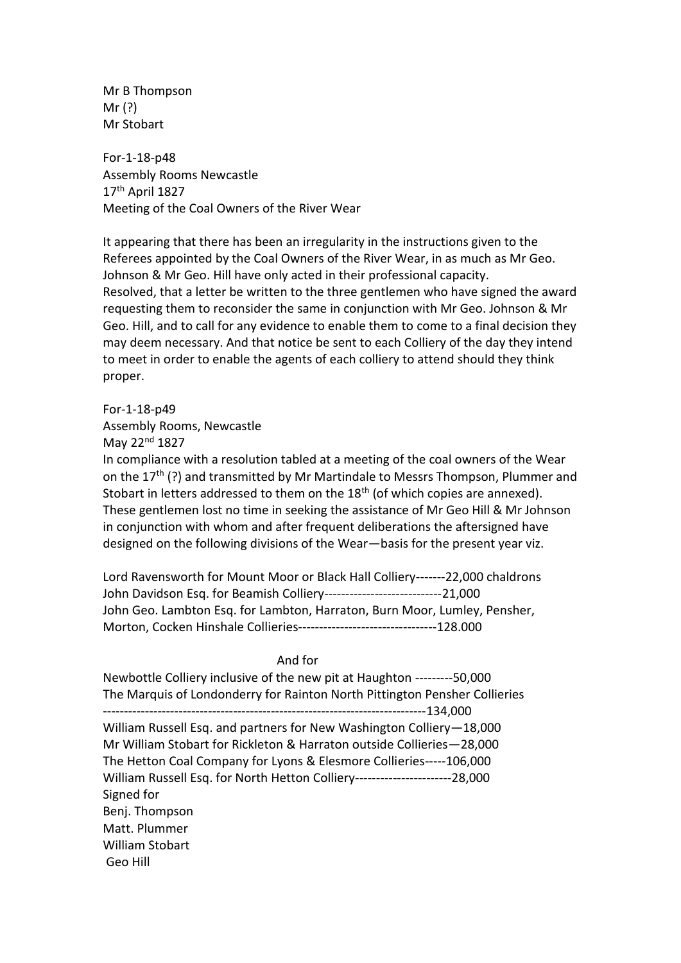Mr B Thompson Mr (?) Mr Stobart

For-1-18-p48 Assembly Rooms Newcastle 17th April 1827 Meeting of the Coal Owners of the River Wear

It appearing that there has been an irregularity in the instructions given to the Referees appointed by the Coal Owners of the River Wear, in as much as Mr Geo. Johnson & Mr Geo. Hill have only acted in their professional capacity. Resolved, that a letter be written to the three gentlemen who have signed the award requesting them to reconsider the same in conjunction with Mr Geo. Johnson & Mr Geo. Hill, and to call for any evidence to enable them to come to a final decision they may deem necessary. And that notice be sent to each Colliery of the day they intend to meet in order to enable the agents of each colliery to attend should they think proper.

For-1-18-p49

Assembly Rooms, Newcastle

May 22nd 1827

In compliance with a resolution tabled at a meeting of the coal owners of the Wear on the 17<sup>th</sup> (?) and transmitted by Mr Martindale to Messrs Thompson, Plummer and Stobart in letters addressed to them on the  $18<sup>th</sup>$  (of which copies are annexed). These gentlemen lost no time in seeking the assistance of Mr Geo Hill & Mr Johnson in conjunction with whom and after frequent deliberations the aftersigned have designed on the following divisions of the Wear—basis for the present year viz.

Lord Ravensworth for Mount Moor or Black Hall Colliery-------22,000 chaldrons John Davidson Esq. for Beamish Colliery----------------------------21,000 John Geo. Lambton Esq. for Lambton, Harraton, Burn Moor, Lumley, Pensher, Morton, Cocken Hinshale Collieries---------------------------------128.000

#### And for

Newbottle Colliery inclusive of the new pit at Haughton ---------50,000 The Marquis of Londonderry for Rainton North Pittington Pensher Collieries -----------------------------------------------------------------------------134,000 William Russell Esq. and partners for New Washington Colliery—18,000 Mr William Stobart for Rickleton & Harraton outside Collieries—28,000 The Hetton Coal Company for Lyons & Elesmore Collieries-----106,000 William Russell Esq. for North Hetton Colliery-----------------------28,000 Signed for Benj. Thompson Matt. Plummer William Stobart Geo Hill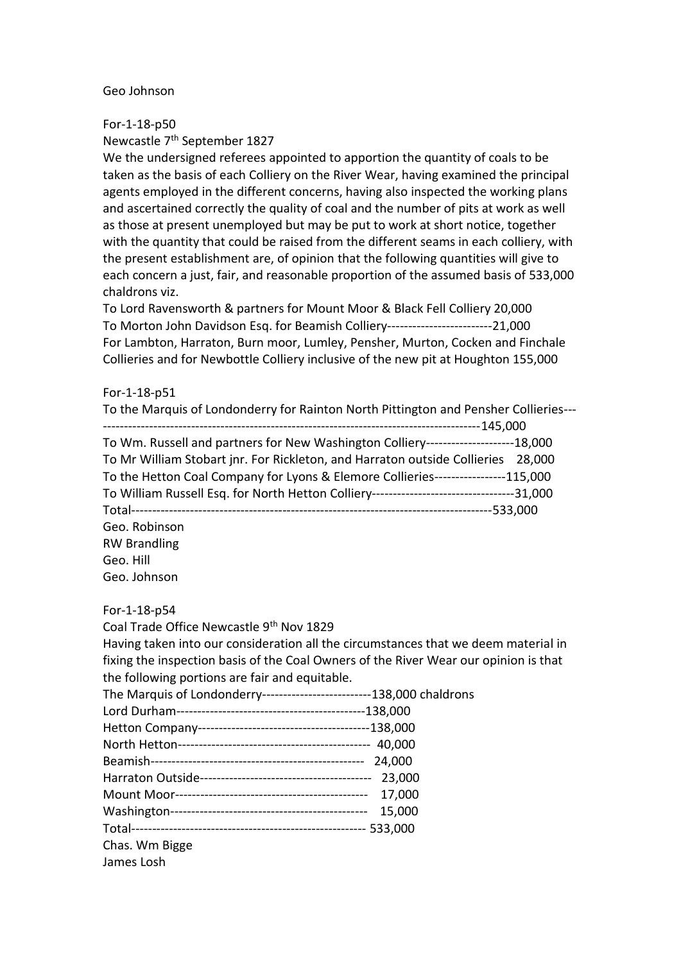#### Geo Johnson

For-1-18-p50 Newcastle 7<sup>th</sup> September 1827

We the undersigned referees appointed to apportion the quantity of coals to be taken as the basis of each Colliery on the River Wear, having examined the principal agents employed in the different concerns, having also inspected the working plans and ascertained correctly the quality of coal and the number of pits at work as well as those at present unemployed but may be put to work at short notice, together with the quantity that could be raised from the different seams in each colliery, with the present establishment are, of opinion that the following quantities will give to each concern a just, fair, and reasonable proportion of the assumed basis of 533,000 chaldrons viz.

To Lord Ravensworth & partners for Mount Moor & Black Fell Colliery 20,000 To Morton John Davidson Esq. for Beamish Colliery-------------------------21,000 For Lambton, Harraton, Burn moor, Lumley, Pensher, Murton, Cocken and Finchale Collieries and for Newbottle Colliery inclusive of the new pit at Houghton 155,000

#### For-1-18-p51

| To the Marquis of Londonderry for Rainton North Pittington and Pensher Collieries---      |
|-------------------------------------------------------------------------------------------|
|                                                                                           |
| To Wm. Russell and partners for New Washington Colliery---------------------18,000        |
| To Mr William Stobart jnr. For Rickleton, and Harraton outside Collieries 28,000          |
| To the Hetton Coal Company for Lyons & Elemore Collieries-----------------115,000         |
| To William Russell Esq. for North Hetton Colliery----------------------------------31,000 |
|                                                                                           |
| Geo. Robinson                                                                             |
| <b>RW Brandling</b>                                                                       |
| Geo. Hill                                                                                 |
| Geo. Johnson                                                                              |

#### For-1-18-p54

Coal Trade Office Newcastle 9th Nov 1829 Having taken into our consideration all the circumstances that we deem material in fixing the inspection basis of the Coal Owners of the River Wear our opinion is that the following portions are fair and equitable.

| The Marquis of Londonderry--------------------------138,000 chaldrons |        |
|-----------------------------------------------------------------------|--------|
|                                                                       |        |
|                                                                       |        |
|                                                                       |        |
|                                                                       |        |
|                                                                       | 23,000 |
|                                                                       | 17,000 |
|                                                                       | 15,000 |
|                                                                       |        |
| Chas. Wm Bigge                                                        |        |
| James Losh                                                            |        |
|                                                                       |        |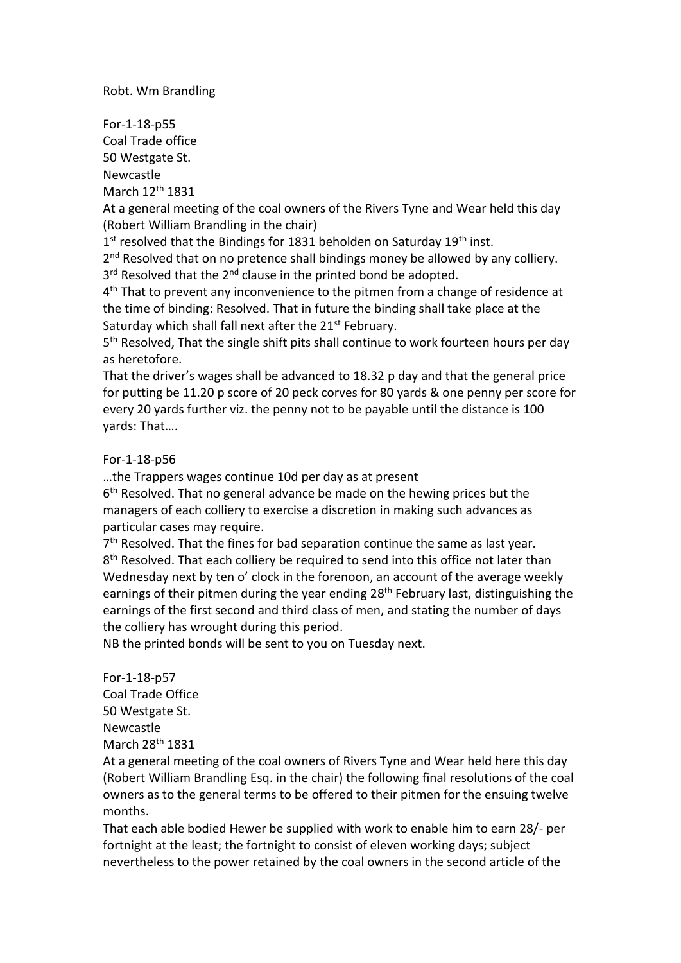Robt. Wm Brandling

For-1-18-p55 Coal Trade office 50 Westgate St. Newcastle March 12th 1831

At a general meeting of the coal owners of the Rivers Tyne and Wear held this day (Robert William Brandling in the chair)

1<sup>st</sup> resolved that the Bindings for 1831 beholden on Saturday 19<sup>th</sup> inst.

2<sup>nd</sup> Resolved that on no pretence shall bindings money be allowed by any colliery. 3<sup>rd</sup> Resolved that the 2<sup>nd</sup> clause in the printed bond be adopted.

4<sup>th</sup> That to prevent any inconvenience to the pitmen from a change of residence at the time of binding: Resolved. That in future the binding shall take place at the Saturday which shall fall next after the 21<sup>st</sup> February.

5<sup>th</sup> Resolved, That the single shift pits shall continue to work fourteen hours per day as heretofore.

That the driver's wages shall be advanced to 18.32 p day and that the general price for putting be 11.20 p score of 20 peck corves for 80 yards & one penny per score for every 20 yards further viz. the penny not to be payable until the distance is 100 yards: That….

## For-1-18-p56

…the Trappers wages continue 10d per day as at present

6<sup>th</sup> Resolved. That no general advance be made on the hewing prices but the managers of each colliery to exercise a discretion in making such advances as particular cases may require.

7<sup>th</sup> Resolved. That the fines for bad separation continue the same as last year. 8<sup>th</sup> Resolved. That each colliery be required to send into this office not later than Wednesday next by ten o' clock in the forenoon, an account of the average weekly earnings of their pitmen during the year ending 28<sup>th</sup> February last, distinguishing the earnings of the first second and third class of men, and stating the number of days the colliery has wrought during this period.

NB the printed bonds will be sent to you on Tuesday next.

For-1-18-p57 Coal Trade Office 50 Westgate St. Newcastle March 28th 1831

At a general meeting of the coal owners of Rivers Tyne and Wear held here this day (Robert William Brandling Esq. in the chair) the following final resolutions of the coal owners as to the general terms to be offered to their pitmen for the ensuing twelve months.

That each able bodied Hewer be supplied with work to enable him to earn 28/- per fortnight at the least; the fortnight to consist of eleven working days; subject nevertheless to the power retained by the coal owners in the second article of the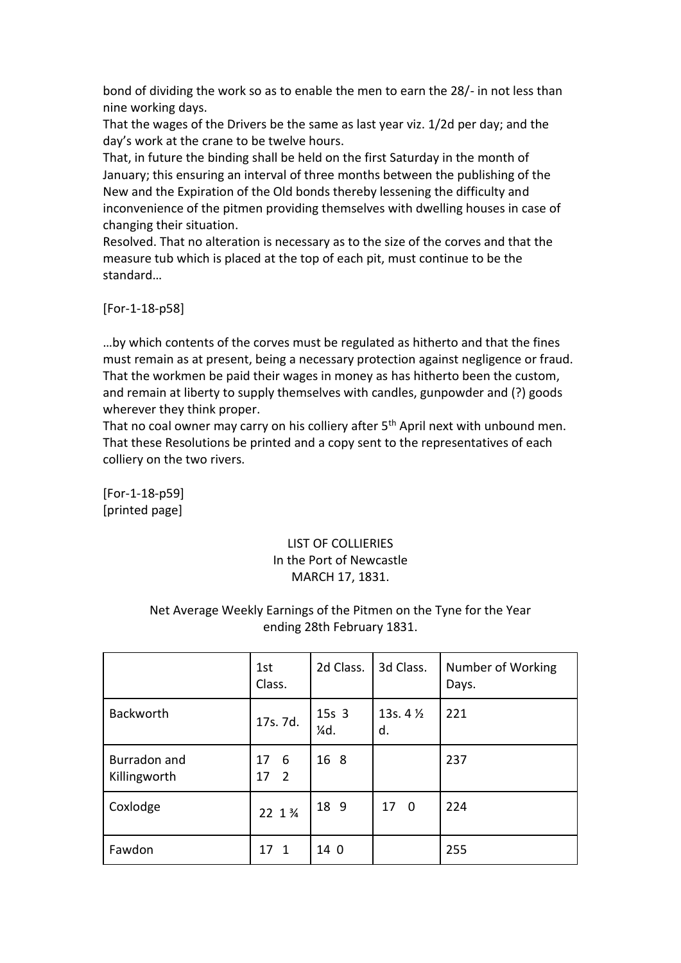bond of dividing the work so as to enable the men to earn the 28/- in not less than nine working days.

That the wages of the Drivers be the same as last year viz. 1/2d per day; and the day's work at the crane to be twelve hours.

That, in future the binding shall be held on the first Saturday in the month of January; this ensuring an interval of three months between the publishing of the New and the Expiration of the Old bonds thereby lessening the difficulty and inconvenience of the pitmen providing themselves with dwelling houses in case of changing their situation.

Resolved. That no alteration is necessary as to the size of the corves and that the measure tub which is placed at the top of each pit, must continue to be the standard…

[For-1-18-p58]

…by which contents of the corves must be regulated as hitherto and that the fines must remain as at present, being a necessary protection against negligence or fraud. That the workmen be paid their wages in money as has hitherto been the custom, and remain at liberty to supply themselves with candles, gunpowder and (?) goods wherever they think proper.

That no coal owner may carry on his colliery after 5<sup>th</sup> April next with unbound men. That these Resolutions be printed and a copy sent to the representatives of each colliery on the two rivers.

[For-1-18-p59] [printed page]

## LIST OF COLLIERIES In the Port of Newcastle MARCH 17, 1831.

## Net Average Weekly Earnings of the Pitmen on the Tyne for the Year ending 28th February 1831.

|                              | 1st<br>Class.                     | 2d Class.               | 3d Class.                     | Number of Working<br>Days. |
|------------------------------|-----------------------------------|-------------------------|-------------------------------|----------------------------|
| <b>Backworth</b>             | 17s. 7d.                          | 15s <sub>3</sub><br>¼d. | 13s. $4\frac{1}{2}$<br>d.     | 221                        |
| Burradon and<br>Killingworth | - 6<br>17<br>$\overline{2}$<br>17 | 16 8                    |                               | 237                        |
| Coxlodge                     | 22 1 3/4                          | 18 9                    | 17<br>$\overline{\mathbf{0}}$ | 224                        |
| Fawdon                       | 17 1                              | 14 0                    |                               | 255                        |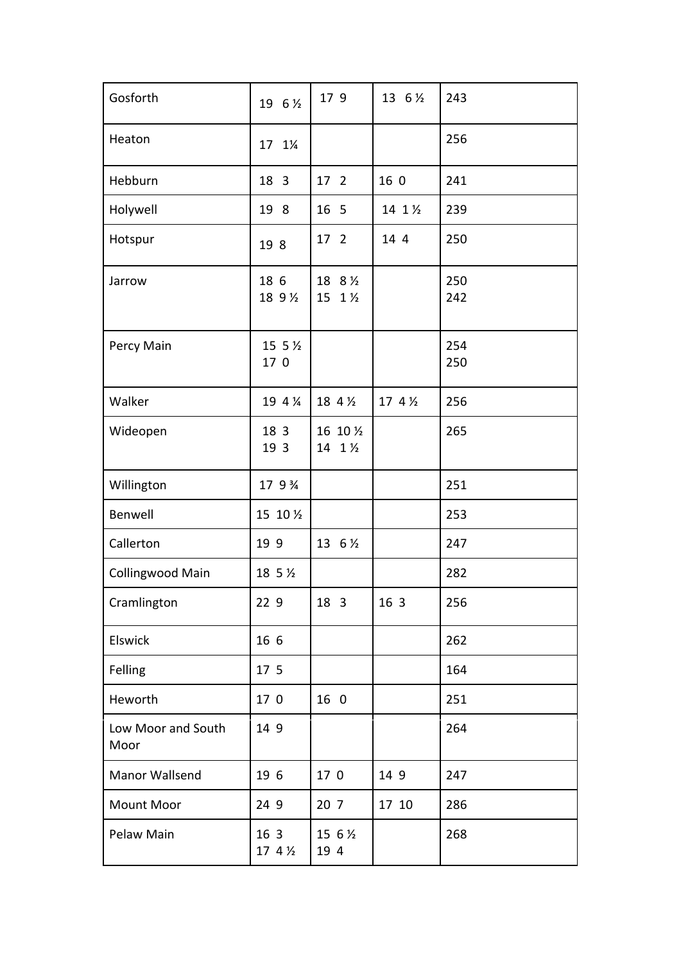| Gosforth                   | 19 6 1/2                   | 17 9                  | 13 6 1/2 | 243        |
|----------------------------|----------------------------|-----------------------|----------|------------|
| Heaton                     | 17<br>$1\frac{1}{4}$       |                       |          | 256        |
| Hebburn                    | 18 3                       | 17 <sup>2</sup>       | 16 0     | 241        |
| Holywell                   | 19 8                       | 16 5                  | 14 1 1/2 | 239        |
| Hotspur                    | 19 8                       | 17 <sup>2</sup>       | 14 4     | 250        |
| Jarrow                     | 18 6<br>18 9 1/2           | 18 8 1/2<br>15 1 1/2  |          | 250<br>242 |
| Percy Main                 | 15 5 $\frac{1}{2}$<br>17 0 |                       |          | 254<br>250 |
| Walker                     | 19 4 %                     | 18 4 1/2              | 17 4 1/2 | 256        |
| Wideopen                   | 18 3<br>19 3               | 16 10 1/2<br>14 1 1/2 |          | 265        |
| Willington                 | 17 9 3/4                   |                       |          | 251        |
| Benwell                    | 15 10 1/2                  |                       |          | 253        |
| Callerton                  | 19 9                       | 13 6 1/2              |          | 247        |
| <b>Collingwood Main</b>    | 18 5 $\frac{1}{2}$         |                       |          | 282        |
| Cramlington                | 22 9                       | 18 3                  | 16 3     | 256        |
| Elswick                    | 16 6                       |                       |          | 262        |
| Felling                    | 17 5                       |                       |          | 164        |
| Heworth                    | 17 0                       | 16 0                  |          | 251        |
| Low Moor and South<br>Moor | 14 9                       |                       |          | 264        |
| Manor Wallsend             | 19 6                       | 17 0                  | 14 9     | 247        |
| Mount Moor                 | 24 9                       | 20 <sub>7</sub>       | 17 10    | 286        |
| Pelaw Main                 | 16 3<br>17 4 $\frac{1}{2}$ | 15 6 1/2<br>19 4      |          | 268        |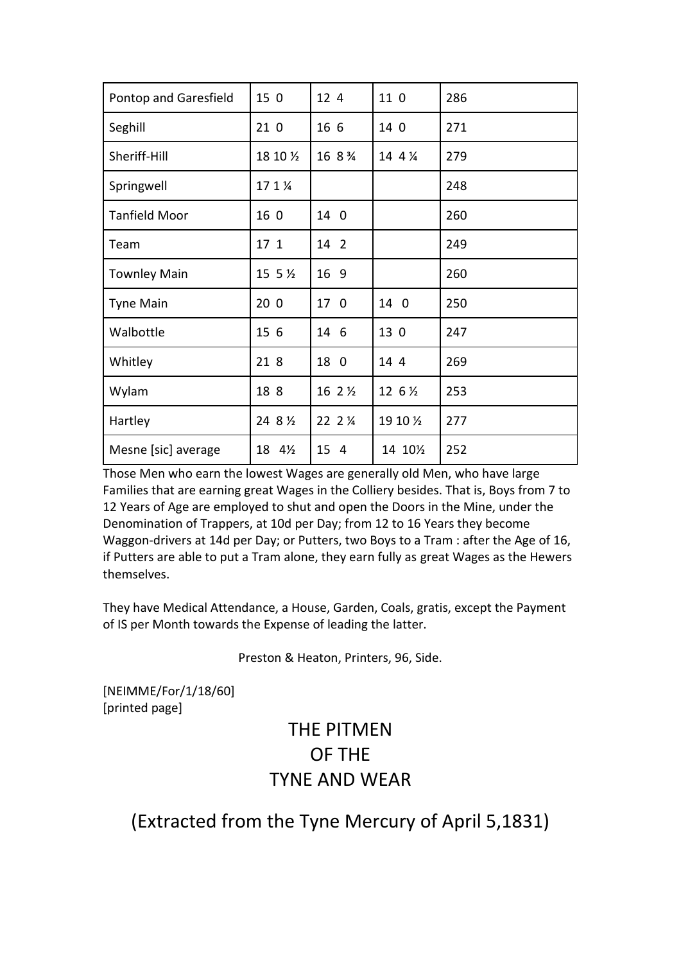| Pontop and Garesfield | 15 0               | 12 4     | 11 0      | 286 |
|-----------------------|--------------------|----------|-----------|-----|
| Seghill               | 210                | 16 6     | 14 0      | 271 |
| Sheriff-Hill          | 18 10 1/2          | 16 8 %   | 14 4 %    | 279 |
| Springwell            | 17 1 %             |          |           | 248 |
| <b>Tanfield Moor</b>  | 16 0               | 14 0     |           | 260 |
| Team                  | 17 <sub>1</sub>    | 14 2     |           | 249 |
| <b>Townley Main</b>   | 15 5 $\frac{1}{2}$ | 16 9     |           | 260 |
| <b>Tyne Main</b>      | 200                | 17<br>0  | 14 0      | 250 |
| Walbottle             | 15 6               | 14 6     | 13 0      | 247 |
| Whitley               | 21 8               | 18 0     | 14 4      | 269 |
| Wylam                 | 18 8               | 16 2 1/2 | 12 6 1/2  | 253 |
| Hartley               | 24 8 1/2           | 22 2 1/4 | 19 10 1/2 | 277 |
| Mesne [sic] average   | 18 41/2            | 15 4     | 14 101/2  | 252 |

Those Men who earn the lowest Wages are generally old Men, who have large Families that are earning great Wages in the Colliery besides. That is, Boys from 7 to 12 Years of Age are employed to shut and open the Doors in the Mine, under the Denomination of Trappers, at 10d per Day; from 12 to 16 Years they become Waggon-drivers at 14d per Day; or Putters, two Boys to a Tram : after the Age of 16, if Putters are able to put a Tram alone, they earn fully as great Wages as the Hewers themselves.

They have Medical Attendance, a House, Garden, Coals, gratis, except the Payment of IS per Month towards the Expense of leading the latter.

Preston & Heaton, Printers, 96, Side.

[NEIMME/For/1/18/60] [printed page]

# THE PITMEN OF THE TYNE AND WEAR

## (Extracted from the Tyne Mercury of April 5,1831)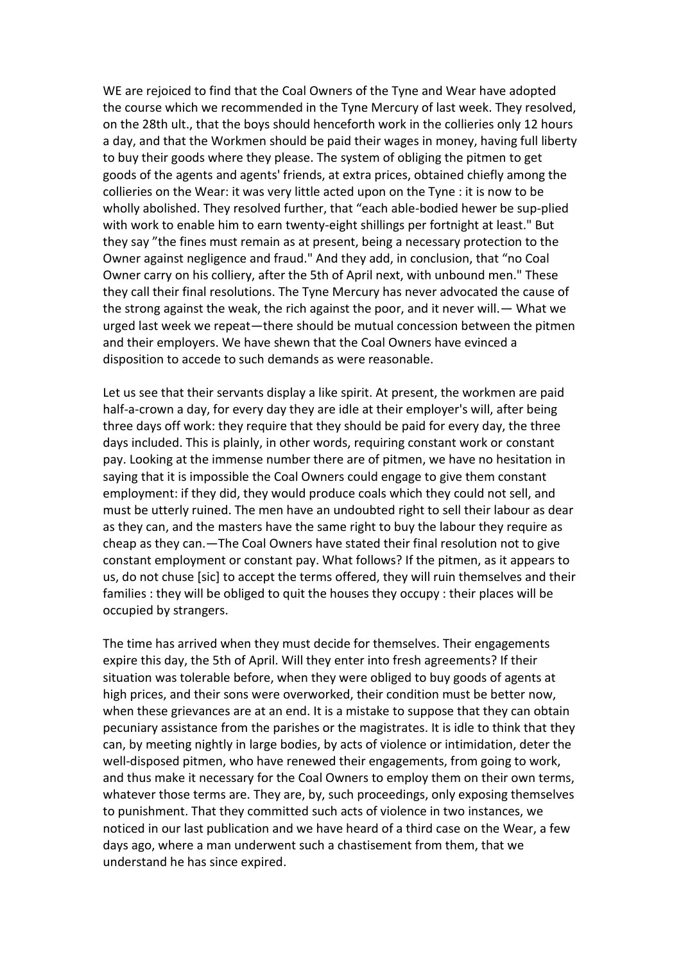WE are rejoiced to find that the Coal Owners of the Tyne and Wear have adopted the course which we recommended in the Tyne Mercury of last week. They resolved, on the 28th ult., that the boys should henceforth work in the collieries only 12 hours a day, and that the Workmen should be paid their wages in money, having full liberty to buy their goods where they please. The system of obliging the pitmen to get goods of the agents and agents' friends, at extra prices, obtained chiefly among the collieries on the Wear: it was very little acted upon on the Tyne : it is now to be wholly abolished. They resolved further, that "each able-bodied hewer be sup-plied with work to enable him to earn twenty-eight shillings per fortnight at least." But they say "the fines must remain as at present, being a necessary protection to the Owner against negligence and fraud." And they add, in conclusion, that "no Coal Owner carry on his colliery, after the 5th of April next, with unbound men." These they call their final resolutions. The Tyne Mercury has never advocated the cause of the strong against the weak, the rich against the poor, and it never will.— What we urged last week we repeat—there should be mutual concession between the pitmen and their employers. We have shewn that the Coal Owners have evinced a disposition to accede to such demands as were reasonable.

Let us see that their servants display a like spirit. At present, the workmen are paid half-a-crown a day, for every day they are idle at their employer's will, after being three days off work: they require that they should be paid for every day, the three days included. This is plainly, in other words, requiring constant work or constant pay. Looking at the immense number there are of pitmen, we have no hesitation in saying that it is impossible the Coal Owners could engage to give them constant employment: if they did, they would produce coals which they could not sell, and must be utterly ruined. The men have an undoubted right to sell their labour as dear as they can, and the masters have the same right to buy the labour they require as cheap as they can.—The Coal Owners have stated their final resolution not to give constant employment or constant pay. What follows? If the pitmen, as it appears to us, do not chuse [sic] to accept the terms offered, they will ruin themselves and their families : they will be obliged to quit the houses they occupy : their places will be occupied by strangers.

The time has arrived when they must decide for themselves. Their engagements expire this day, the 5th of April. Will they enter into fresh agreements? If their situation was tolerable before, when they were obliged to buy goods of agents at high prices, and their sons were overworked, their condition must be better now, when these grievances are at an end. It is a mistake to suppose that they can obtain pecuniary assistance from the parishes or the magistrates. It is idle to think that they can, by meeting nightly in large bodies, by acts of violence or intimidation, deter the well-disposed pitmen, who have renewed their engagements, from going to work, and thus make it necessary for the Coal Owners to employ them on their own terms, whatever those terms are. They are, by, such proceedings, only exposing themselves to punishment. That they committed such acts of violence in two instances, we noticed in our last publication and we have heard of a third case on the Wear, a few days ago, where a man underwent such a chastisement from them, that we understand he has since expired.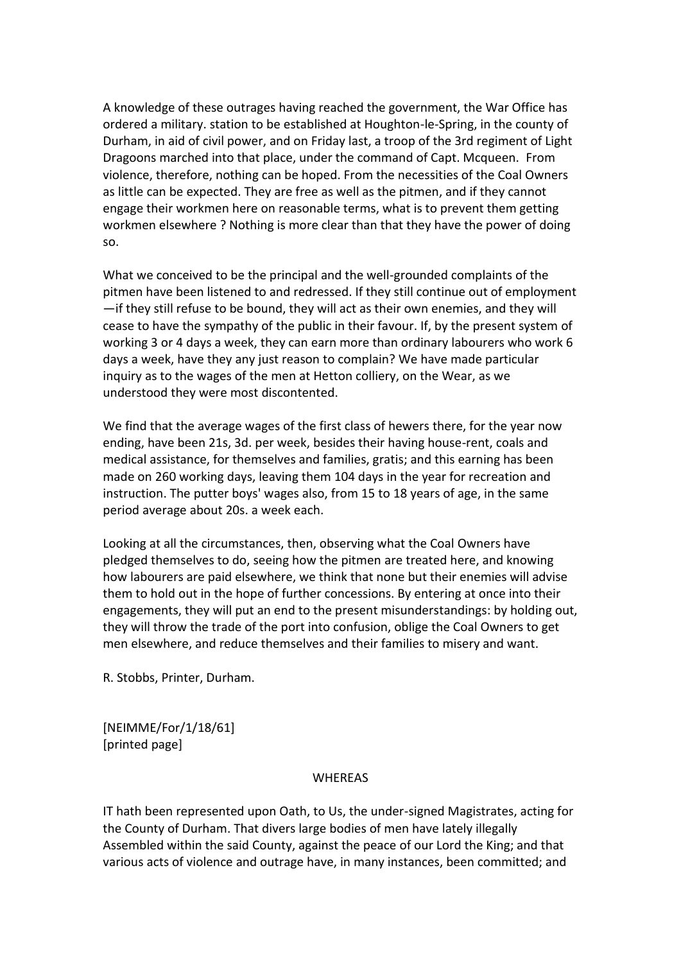A knowledge of these outrages having reached the government, the War Office has ordered a military. station to be established at Houghton-le-Spring, in the county of Durham, in aid of civil power, and on Friday last, a troop of the 3rd regiment of Light Dragoons marched into that place, under the command of Capt. Mcqueen. From violence, therefore, nothing can be hoped. From the necessities of the Coal Owners as little can be expected. They are free as well as the pitmen, and if they cannot engage their workmen here on reasonable terms, what is to prevent them getting workmen elsewhere ? Nothing is more clear than that they have the power of doing so.

What we conceived to be the principal and the well-grounded complaints of the pitmen have been listened to and redressed. If they still continue out of employment —if they still refuse to be bound, they will act as their own enemies, and they will cease to have the sympathy of the public in their favour. If, by the present system of working 3 or 4 days a week, they can earn more than ordinary labourers who work 6 days a week, have they any just reason to complain? We have made particular inquiry as to the wages of the men at Hetton colliery, on the Wear, as we understood they were most discontented.

We find that the average wages of the first class of hewers there, for the year now ending, have been 21s, 3d. per week, besides their having house-rent, coals and medical assistance, for themselves and families, gratis; and this earning has been made on 260 working days, leaving them 104 days in the year for recreation and instruction. The putter boys' wages also, from 15 to 18 years of age, in the same period average about 20s. a week each.

Looking at all the circumstances, then, observing what the Coal Owners have pledged themselves to do, seeing how the pitmen are treated here, and knowing how labourers are paid elsewhere, we think that none but their enemies will advise them to hold out in the hope of further concessions. By entering at once into their engagements, they will put an end to the present misunderstandings: by holding out, they will throw the trade of the port into confusion, oblige the Coal Owners to get men elsewhere, and reduce themselves and their families to misery and want.

R. Stobbs, Printer, Durham.

[NEIMME/For/1/18/61] [printed page]

#### WHEREAS

IT hath been represented upon Oath, to Us, the under-signed Magistrates, acting for the County of Durham. That divers large bodies of men have lately illegally Assembled within the said County, against the peace of our Lord the King; and that various acts of violence and outrage have, in many instances, been committed; and